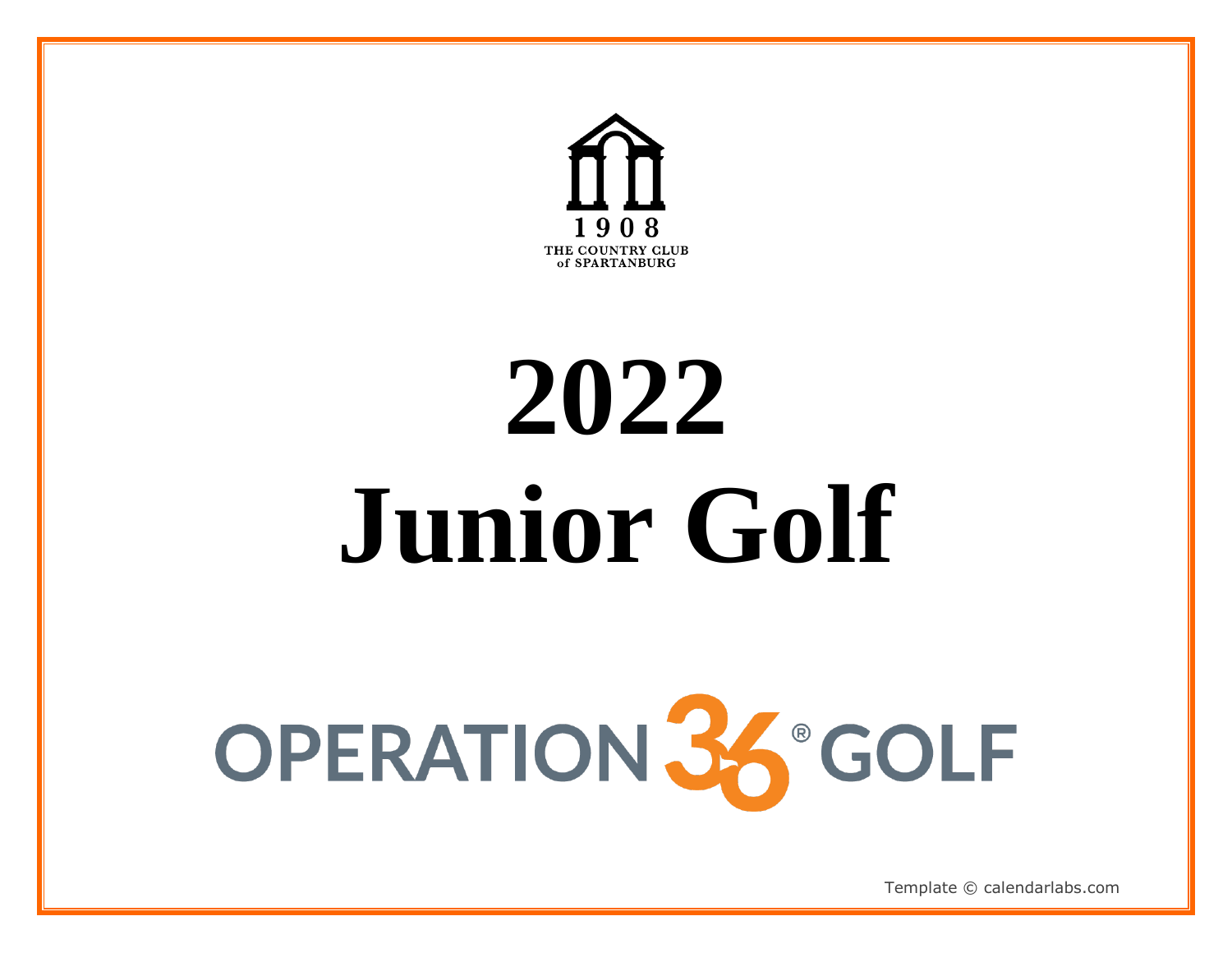

# **2022 Junior Golf**

# OPERATION 36 GOLF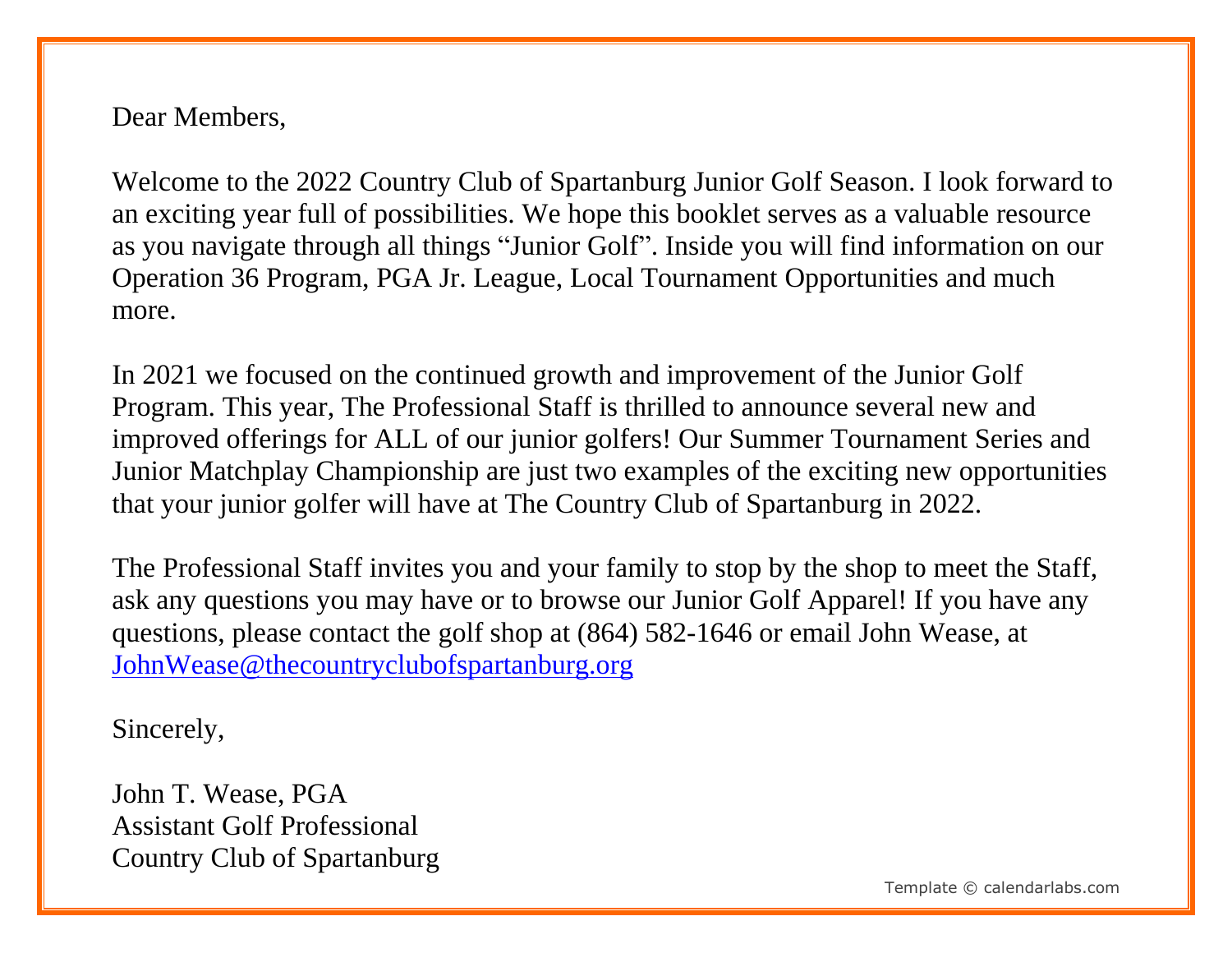Dear Members,

Welcome to the 2022 Country Club of Spartanburg Junior Golf Season. I look forward to an exciting year full of possibilities. We hope this booklet serves as a valuable resource as you navigate through all things "Junior Golf". Inside you will find information on our Operation 36 Program, PGA Jr. League, Local Tournament Opportunities and much more.

In 2021 we focused on the continued growth and improvement of the Junior Golf Program. This year, The Professional Staff is thrilled to announce several new and improved offerings for ALL of our junior golfers! Our Summer Tournament Series and Junior Matchplay Championship are just two examples of the exciting new opportunities that your junior golfer will have at The Country Club of Spartanburg in 2022.

The Professional Staff invites you and your family to stop by the shop to meet the Staff, ask any questions you may have or to browse our Junior Golf Apparel! If you have any questions, please contact the golf shop at (864) 582-1646 or email John Wease, at [JohnWease@thecountryclubofspartanburg.org](mailto:JohnWease@thecountryclubofspartanburg.org)

Sincerely,

John T. Wease, PGA Assistant Golf Professional Country Club of Spartanburg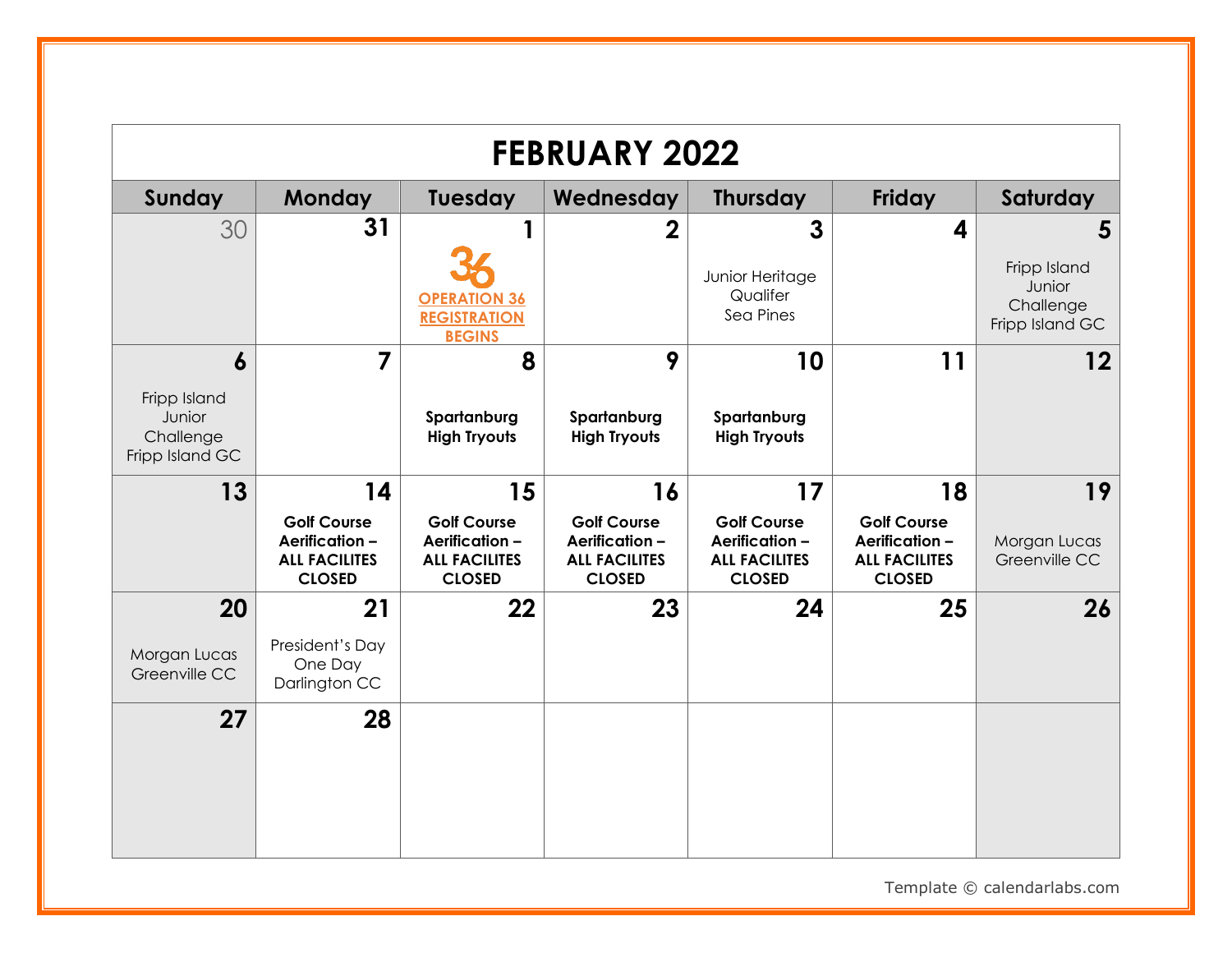|                                                                            |                                                                                    |                                                                                     | <b>FEBRUARY 2022</b>                                                               |                                                                                    |                                                                                     |                                                             |
|----------------------------------------------------------------------------|------------------------------------------------------------------------------------|-------------------------------------------------------------------------------------|------------------------------------------------------------------------------------|------------------------------------------------------------------------------------|-------------------------------------------------------------------------------------|-------------------------------------------------------------|
| Sunday                                                                     | <b>Monday</b>                                                                      | Tuesday                                                                             | Wednesday                                                                          | <b>Thursday</b>                                                                    | Friday                                                                              | Saturday                                                    |
| 30                                                                         | 31                                                                                 | <b>OPERATION 36</b><br><b>REGISTRATION</b>                                          | $\mathbf 2$                                                                        | 3<br>Junior Heritage<br>Qualifer<br>Sea Pines                                      | 4                                                                                   | 5<br>Fripp Island<br>Junior<br>Challenge<br>Fripp Island GC |
| $\boldsymbol{6}$<br>Fripp Island<br>Junior<br>Challenge<br>Fripp Island GC | $\overline{7}$                                                                     | <b>BEGINS</b><br>8<br>Spartanburg<br><b>High Tryouts</b>                            | 9<br>Spartanburg<br><b>High Tryouts</b>                                            | 10<br>Spartanburg<br><b>High Tryouts</b>                                           | 11                                                                                  | $12 \,$                                                     |
| 13                                                                         | 14<br><b>Golf Course</b><br>Aerification-<br><b>ALL FACILITES</b><br><b>CLOSED</b> | 15<br><b>Golf Course</b><br>Aerification -<br><b>ALL FACILITES</b><br><b>CLOSED</b> | 16<br><b>Golf Course</b><br>Aerification-<br><b>ALL FACILITES</b><br><b>CLOSED</b> | 17<br><b>Golf Course</b><br>Aerification-<br><b>ALL FACILITES</b><br><b>CLOSED</b> | 18<br><b>Golf Course</b><br>Aerification -<br><b>ALL FACILITES</b><br><b>CLOSED</b> | 19<br>Morgan Lucas<br>Greenville CC                         |
| 20<br>Morgan Lucas<br>Greenville CC                                        | 21<br>President's Day<br>One Day<br>Darlington CC                                  | 22                                                                                  | 23                                                                                 | 24                                                                                 | 25                                                                                  | 26                                                          |
| 27                                                                         | 28                                                                                 |                                                                                     |                                                                                    |                                                                                    |                                                                                     |                                                             |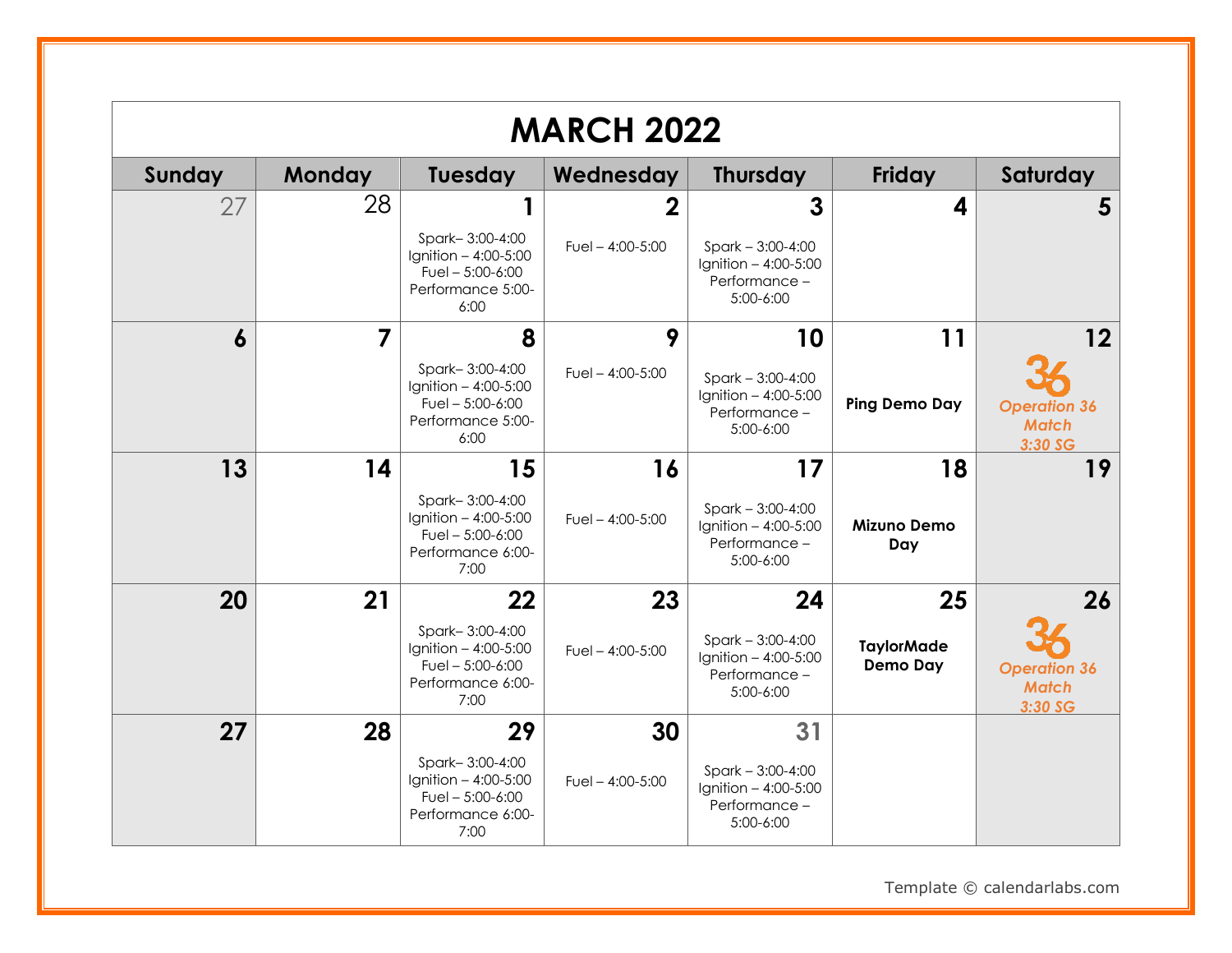|                  |               |                                                                                                  | <b>MARCH 2022</b>                |                                                                                  |                                            |                                                      |
|------------------|---------------|--------------------------------------------------------------------------------------------------|----------------------------------|----------------------------------------------------------------------------------|--------------------------------------------|------------------------------------------------------|
| Sunday           | <b>Monday</b> | Tuesday                                                                                          | Wednesday                        | <b>Thursday</b>                                                                  | Friday                                     | Saturday                                             |
| 27               | 28            | Spark-3:00-4:00<br>Ignition - 4:00-5:00<br>Fuel $-5:00-6:00$<br>Performance 5:00-<br>6:00        | $\bf{2}$<br>Fuel $- 4:00 - 5:00$ | 3<br>$Spark - 3:00 - 4:00$<br>Ignition $-4:00-5:00$<br>Performance-<br>5:00-6:00 | 4                                          | 5                                                    |
| $\boldsymbol{6}$ | 7             | 8<br>Spark-3:00-4:00<br>Ignition - 4:00-5:00<br>Fuel $-5:00-6:00$<br>Performance 5:00-<br>6:00   | 9<br>Fuel $- 4:00 - 5:00$        | 10<br>$Spark - 3:00-4:00$<br>Ignition - 4:00-5:00<br>Performance -<br>5:00-6:00  | 11<br><b>Ping Demo Day</b>                 | 12<br><b>Operation 36</b><br><b>Match</b><br>3:30 SG |
| 13               | 14            | 15<br>Spark-3:00-4:00<br>Ignition - 4:00-5:00<br>Fuel $-5:00-6:00$<br>Performance 6:00-<br>7:00  | 16<br>Fuel $- 4:00 - 5:00$       | 17<br>$Spark - 3:00-4:00$<br>Ignition - 4:00-5:00<br>Performance-<br>5:00-6:00   | 18<br><b>Mizuno Demo</b><br>Day            | 19                                                   |
| 20               | 21            | 22<br>Spark-3:00-4:00<br>Ignition $-4:00-5:00$<br>Fuel $-5:00-6:00$<br>Performance 6:00-<br>7:00 | 23<br>Fuel $- 4:00 - 5:00$       | 24<br>$Spark - 3:00-4:00$<br>Ignition $-4:00-5:00$<br>Performance-<br>5:00-6:00  | 25<br><b>TaylorMade</b><br><b>Demo Day</b> | 26<br><b>Operation 36</b><br><b>Match</b><br>3:30 SG |
| 27               | 28            | 29<br>Spark-3:00-4:00<br>Ignition - 4:00-5:00<br>Fuel $-5:00-6:00$<br>Performance 6:00-<br>7:00  | 30<br>Fuel $-$ 4:00-5:00         | 31<br>$Spark - 3:00-4:00$<br>Ignition $-4:00-5:00$<br>Performance -<br>5:00-6:00 |                                            |                                                      |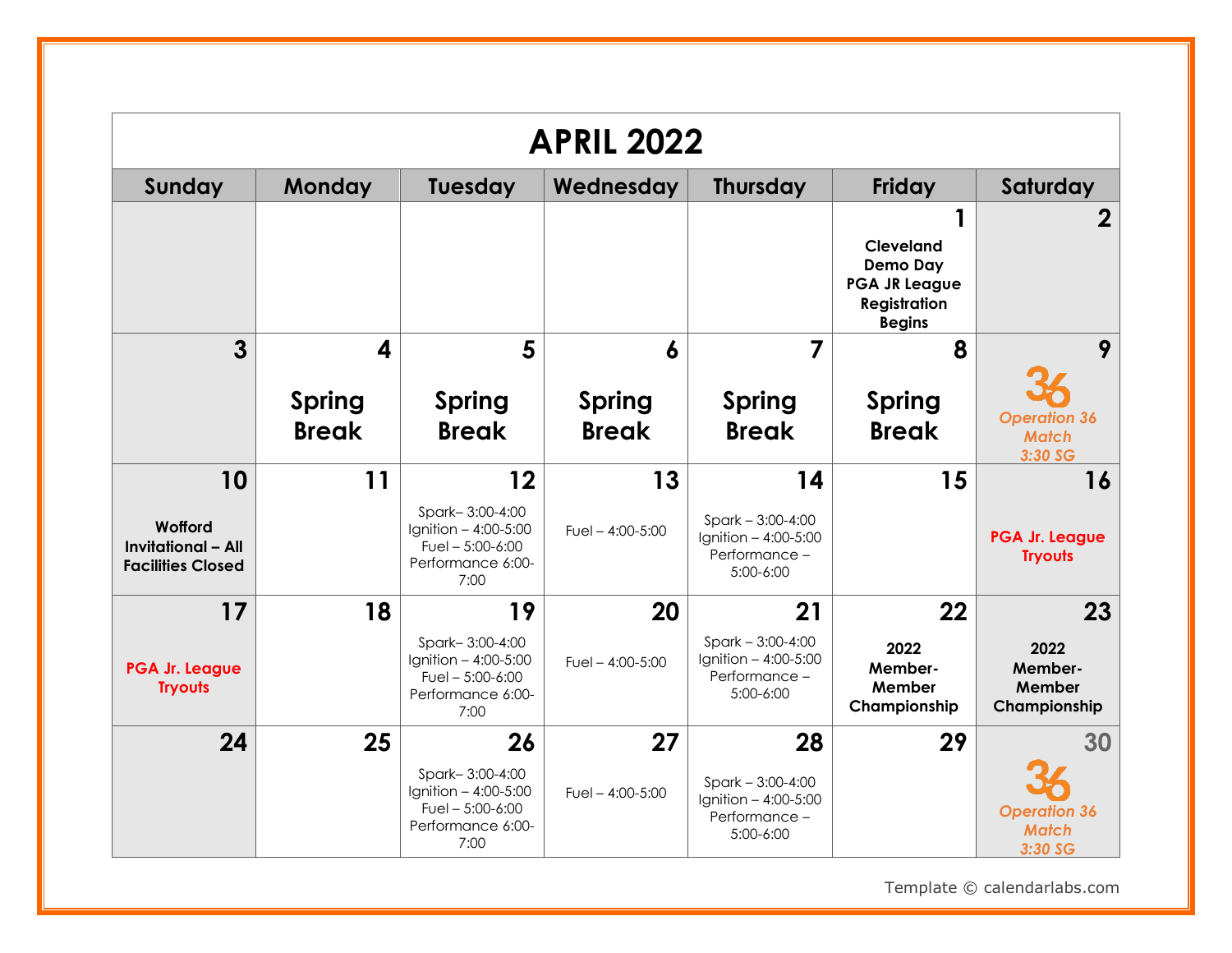|                                                                  |                               |                                                                                           | <b>APRIL 2022</b>             |                                                                            |                                                                                                     |                                                |
|------------------------------------------------------------------|-------------------------------|-------------------------------------------------------------------------------------------|-------------------------------|----------------------------------------------------------------------------|-----------------------------------------------------------------------------------------------------|------------------------------------------------|
| Sunday                                                           | <b>Monday</b>                 | Tuesday                                                                                   | Wednesday                     | <b>Thursday</b>                                                            | <b>Friday</b>                                                                                       | Saturday                                       |
|                                                                  |                               |                                                                                           |                               |                                                                            | <b>Cleveland</b><br><b>Demo Day</b><br><b>PGA JR League</b><br><b>Registration</b><br><b>Begins</b> | 2                                              |
| $\overline{3}$                                                   | $\overline{\mathbf{A}}$       | 5                                                                                         | $\boldsymbol{6}$              | 7                                                                          | 8                                                                                                   | 9                                              |
|                                                                  | <b>Spring</b><br><b>Break</b> | <b>Spring</b><br><b>Break</b>                                                             | <b>Spring</b><br><b>Break</b> | <b>Spring</b><br><b>Break</b>                                              | <b>Spring</b><br><b>Break</b>                                                                       | <b>Operation 36</b><br><b>Match</b><br>3:30 SG |
| 10                                                               | 11                            | 12                                                                                        | 13                            | 14                                                                         | 15                                                                                                  | 16                                             |
| Wofford<br><b>Invitational - All</b><br><b>Facilities Closed</b> |                               | Spark-3:00-4:00<br>Ignition - 4:00-5:00<br>Fuel $-5:00-6:00$<br>Performance 6:00-<br>7:00 | Fuel $- 4:00 - 5:00$          | $Spark - 3:00-4:00$<br>Ignition - 4:00-5:00<br>Performance-<br>5:00-6:00   |                                                                                                     | PGA Jr. League<br><b>Tryouts</b>               |
| 17                                                               | 18                            | 19                                                                                        | 20                            | 21                                                                         | 22                                                                                                  | 23                                             |
| <b>PGA Jr. League</b><br><b>Tryouts</b>                          |                               | Spark-3:00-4:00<br>Ignition - 4:00-5:00<br>Fuel $-5:00-6:00$<br>Performance 6:00-<br>7:00 | Fuel $-$ 4:00-5:00            | $Spark - 3:00-4:00$<br>Ignition $-4:00-5:00$<br>Performance -<br>5:00-6:00 | 2022<br>Member-<br>Member<br>Championship                                                           | 2022<br>Member-<br>Member<br>Championship      |
| 24                                                               | 25                            | 26                                                                                        | 27                            | 28                                                                         | 29                                                                                                  | 30                                             |
|                                                                  |                               | Spark-3:00-4:00<br>Ignition - 4:00-5:00<br>Fuel $-5:00-6:00$<br>Performance 6:00-<br>7:00 | Fuel $- 4:00 - 5:00$          | $Spark - 3:00-4:00$<br>Ignition - 4:00-5:00<br>Performance-<br>5:00-6:00   |                                                                                                     | <b>Operation 36</b><br><b>Match</b><br>3:30 SG |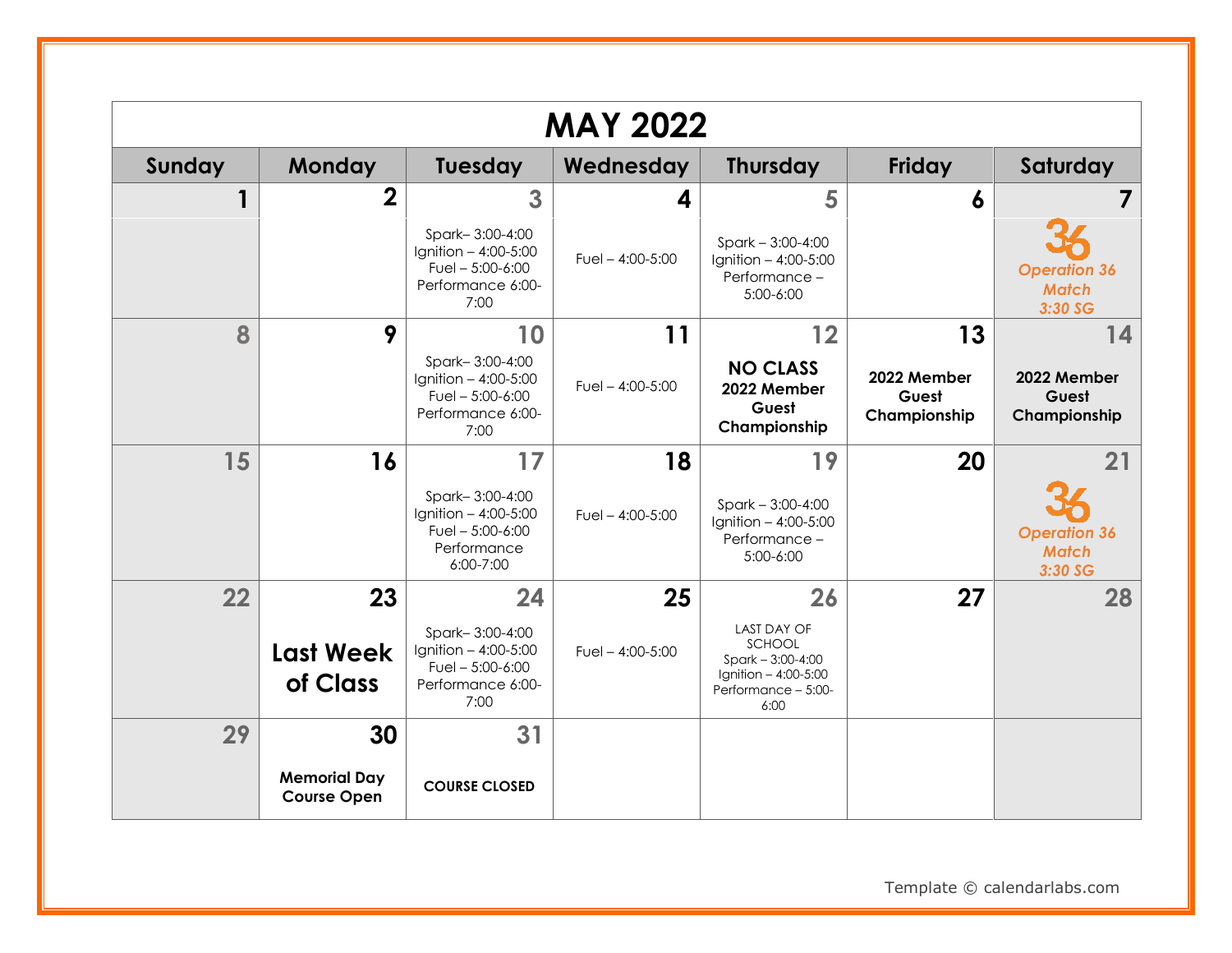|        |                                           |                                                                                           | <b>MAY 2022</b>      |                                                                                                              |                                      |                                                |
|--------|-------------------------------------------|-------------------------------------------------------------------------------------------|----------------------|--------------------------------------------------------------------------------------------------------------|--------------------------------------|------------------------------------------------|
| Sunday | <b>Monday</b>                             | <b>Tuesday</b>                                                                            | Wednesday            | <b>Thursday</b>                                                                                              | <b>Friday</b>                        | Saturday                                       |
|        | $\mathbf 2$                               | 3                                                                                         | 4                    | 5                                                                                                            | 6                                    |                                                |
|        |                                           | Spark-3:00-4:00<br>Ignition - 4:00-5:00<br>Fuel $-5:00-6:00$<br>Performance 6:00-<br>7:00 | Fuel $- 4:00 - 5:00$ | Spark $-3:00-4:00$<br>Ignition - 4:00-5:00<br>Performance -<br>5:00-6:00                                     |                                      | <b>Operation 36</b><br><b>Match</b><br>3:30 SG |
| 8      | 9                                         | 10                                                                                        | 11                   | 12                                                                                                           | 13                                   | 14                                             |
|        |                                           | Spark-3:00-4:00<br>Ignition - 4:00-5:00<br>Fuel $-5:00-6:00$<br>Performance 6:00-<br>7:00 | Fuel $- 4:00 - 5:00$ | <b>NO CLASS</b><br>2022 Member<br>Guest<br>Championship                                                      | 2022 Member<br>Guest<br>Championship | 2022 Member<br>Guest<br>Championship           |
| 15     | 16                                        | 17                                                                                        | 18                   | 19                                                                                                           | 20                                   | 21                                             |
|        |                                           | Spark-3:00-4:00<br>Ignition - 4:00-5:00<br>Fuel $-5:00-6:00$<br>Performance<br>6:00-7:00  | Fuel $- 4:00 - 5:00$ | $Spark - 3:00-4:00$<br>Ignition - 4:00-5:00<br>Performance -<br>$5:00-6:00$                                  |                                      | <b>Operation 36</b><br><b>Match</b><br>3:30 SG |
| 22     | 23                                        | 24                                                                                        | 25                   | 26                                                                                                           | 27                                   | 28                                             |
|        | <b>Last Week</b><br>of Class              | Spark-3:00-4:00<br>Ignition - 4:00-5:00<br>Fuel $-5:00-6:00$<br>Performance 6:00-<br>7:00 | Fuel $- 4:00 - 5:00$ | <b>LAST DAY OF</b><br>SCHOOL<br>$Spark - 3:00 - 4:00$<br>Ignition - 4:00-5:00<br>Performance - 5:00-<br>6:00 |                                      |                                                |
| 29     | 30                                        | 31                                                                                        |                      |                                                                                                              |                                      |                                                |
|        | <b>Memorial Day</b><br><b>Course Open</b> | <b>COURSE CLOSED</b>                                                                      |                      |                                                                                                              |                                      |                                                |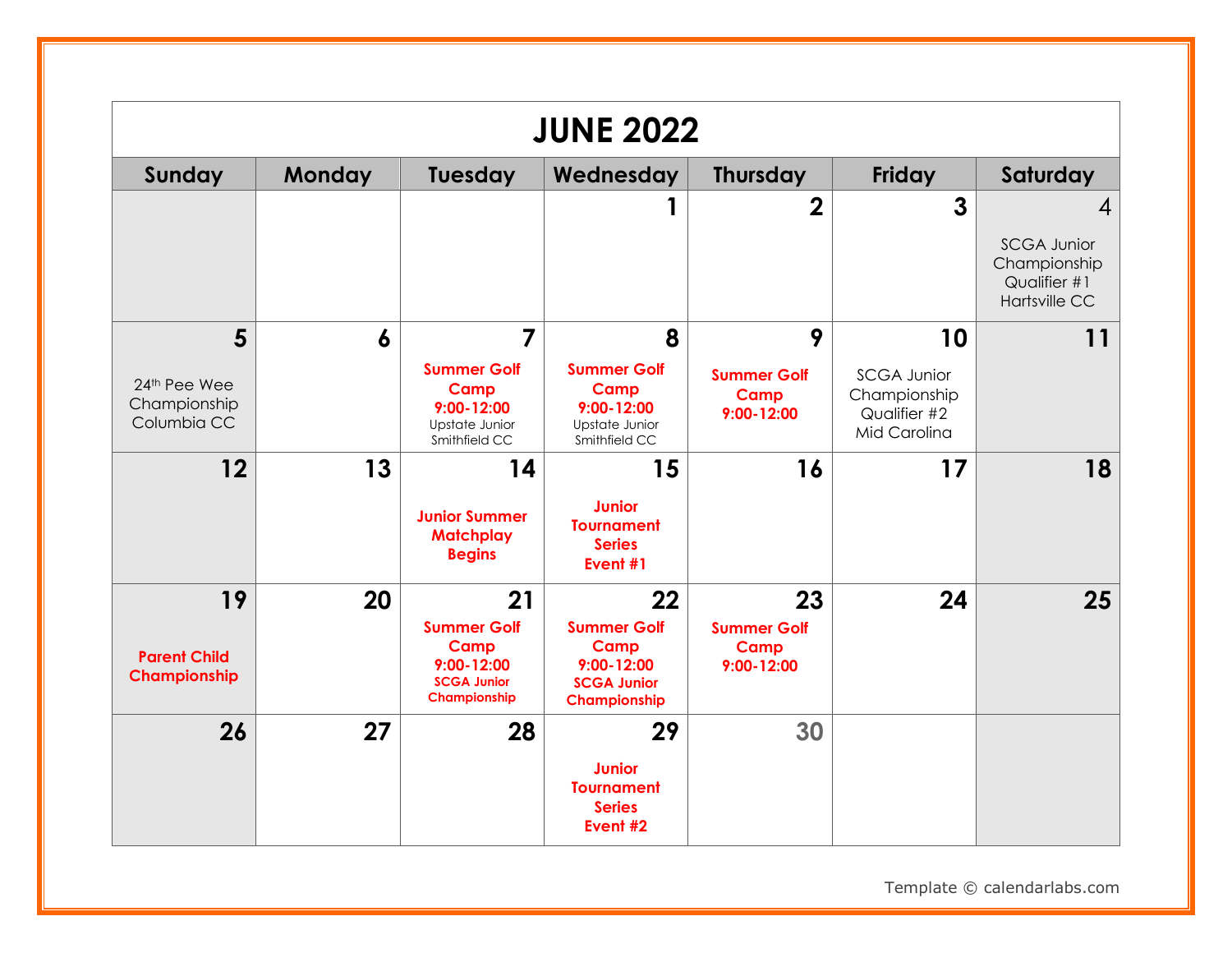|                                                  |        |                                                                                                        | <b>JUNE 2022</b>                                                                         |                                                    |                                                                          |                                                                                 |
|--------------------------------------------------|--------|--------------------------------------------------------------------------------------------------------|------------------------------------------------------------------------------------------|----------------------------------------------------|--------------------------------------------------------------------------|---------------------------------------------------------------------------------|
| Sunday                                           | Monday | <b>Tuesday</b>                                                                                         | Wednesday                                                                                | <b>Thursday</b>                                    | <b>Friday</b>                                                            | Saturday                                                                        |
|                                                  |        |                                                                                                        |                                                                                          | $\mathbf 2$                                        | $\mathbf{3}$                                                             | 4<br><b>SCGA Junior</b><br>Championship<br>Qualifier #1<br><b>Hartsville CC</b> |
| 5<br>24th Pee Wee<br>Championship<br>Columbia CC | 6      | $\overline{7}$<br><b>Summer Golf</b><br>Camp<br>$9:00 - 12:00$<br>Upstate Junior<br>Smithfield CC      | 8<br><b>Summer Golf</b><br>Camp<br>$9:00 - 12:00$<br>Upstate Junior<br>Smithfield CC     | 9<br><b>Summer Golf</b><br>Camp<br>9:00-12:00      | 10<br><b>SCGA Junior</b><br>Championship<br>Qualifier #2<br>Mid Carolina | 11                                                                              |
| 12                                               | 13     | 14<br><b>Junior Summer</b><br><b>Matchplay</b><br><b>Begins</b>                                        | 15<br><b>Junior</b><br><b>Tournament</b><br><b>Series</b><br>Event #1                    | 16                                                 | 17                                                                       | 18                                                                              |
| 19<br><b>Parent Child</b><br>Championship        | 20     | 21<br><b>Summer Golf</b><br><b>Camp</b><br>$9:00 - 12:00$<br><b>SCGA Junior</b><br><b>Championship</b> | 22<br><b>Summer Golf</b><br>Camp<br>$9:00 - 12:00$<br><b>SCGA Junior</b><br>Championship | 23<br><b>Summer Golf</b><br>Camp<br>$9:00 - 12:00$ | 24                                                                       | 25                                                                              |
| 26                                               | 27     | 28                                                                                                     | 29<br><b>Junior</b><br><b>Tournament</b><br><b>Series</b><br>Event #2                    | 30                                                 |                                                                          |                                                                                 |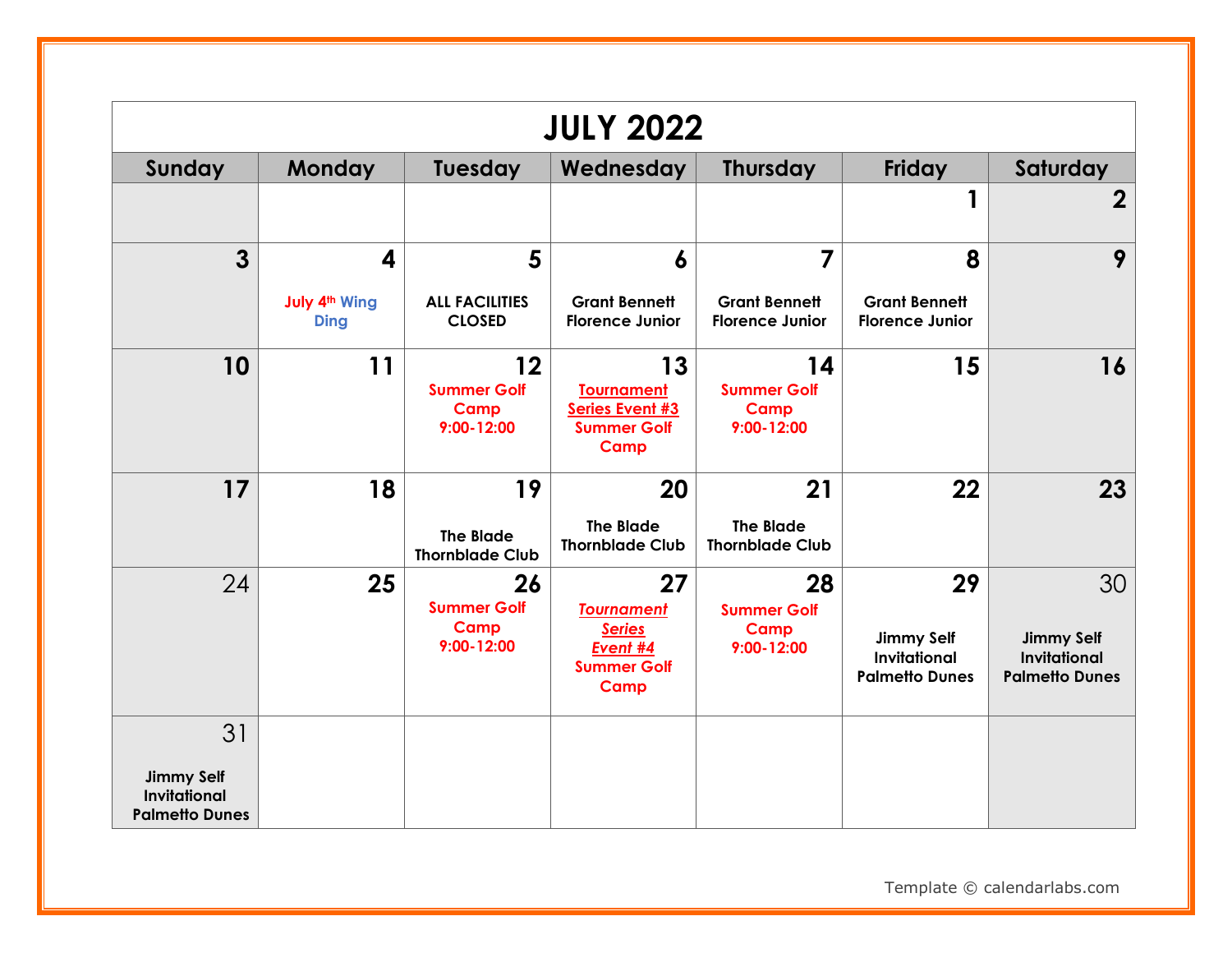|                                                                   |                                          |                                                           | <b>JULY 2022</b>                                                                   |                                                    |                                                                         |                                                                         |
|-------------------------------------------------------------------|------------------------------------------|-----------------------------------------------------------|------------------------------------------------------------------------------------|----------------------------------------------------|-------------------------------------------------------------------------|-------------------------------------------------------------------------|
| Sunday                                                            | <b>Monday</b>                            | Tuesday                                                   | Wednesday                                                                          | <b>Thursday</b>                                    | <b>Friday</b>                                                           | Saturday                                                                |
|                                                                   |                                          |                                                           |                                                                                    |                                                    |                                                                         | $\mathbf 2$                                                             |
| $\overline{3}$                                                    | $\overline{\mathbf{4}}$                  | 5                                                         | $\boldsymbol{6}$                                                                   | 7                                                  | 8                                                                       | 9                                                                       |
|                                                                   | July 4 <sup>th</sup> Wing<br><b>Ding</b> | <b>ALL FACILITIES</b><br><b>CLOSED</b>                    | <b>Grant Bennett</b><br><b>Florence Junior</b>                                     | <b>Grant Bennett</b><br><b>Florence Junior</b>     | <b>Grant Bennett</b><br><b>Florence Junior</b>                          |                                                                         |
| 10                                                                | 11                                       | 12<br><b>Summer Golf</b><br>Camp<br>$9:00 - 12:00$        | 13<br><b>Tournament</b><br><b>Series Event #3</b><br><b>Summer Golf</b><br>Camp    | 14<br><b>Summer Golf</b><br>Camp<br>$9:00 - 12:00$ | 15                                                                      | 16                                                                      |
| 17                                                                | 18                                       | 19<br><b>The Blade</b><br><b>Thornblade Club</b>          | 20<br><b>The Blade</b><br><b>Thornblade Club</b>                                   | 21<br><b>The Blade</b><br><b>Thornblade Club</b>   | 22                                                                      | 23                                                                      |
| 24                                                                | 25                                       | 26<br><b>Summer Golf</b><br><b>Camp</b><br>$9:00 - 12:00$ | 27<br><b>Tournament</b><br><b>Series</b><br>Event #4<br><b>Summer Golf</b><br>Camp | 28<br><b>Summer Golf</b><br>Camp<br>9:00-12:00     | 29<br><b>Jimmy Self</b><br><b>Invitational</b><br><b>Palmetto Dunes</b> | 30<br><b>Jimmy Self</b><br><b>Invitational</b><br><b>Palmetto Dunes</b> |
| 31                                                                |                                          |                                                           |                                                                                    |                                                    |                                                                         |                                                                         |
| <b>Jimmy Self</b><br><b>Invitational</b><br><b>Palmetto Dunes</b> |                                          |                                                           |                                                                                    |                                                    |                                                                         |                                                                         |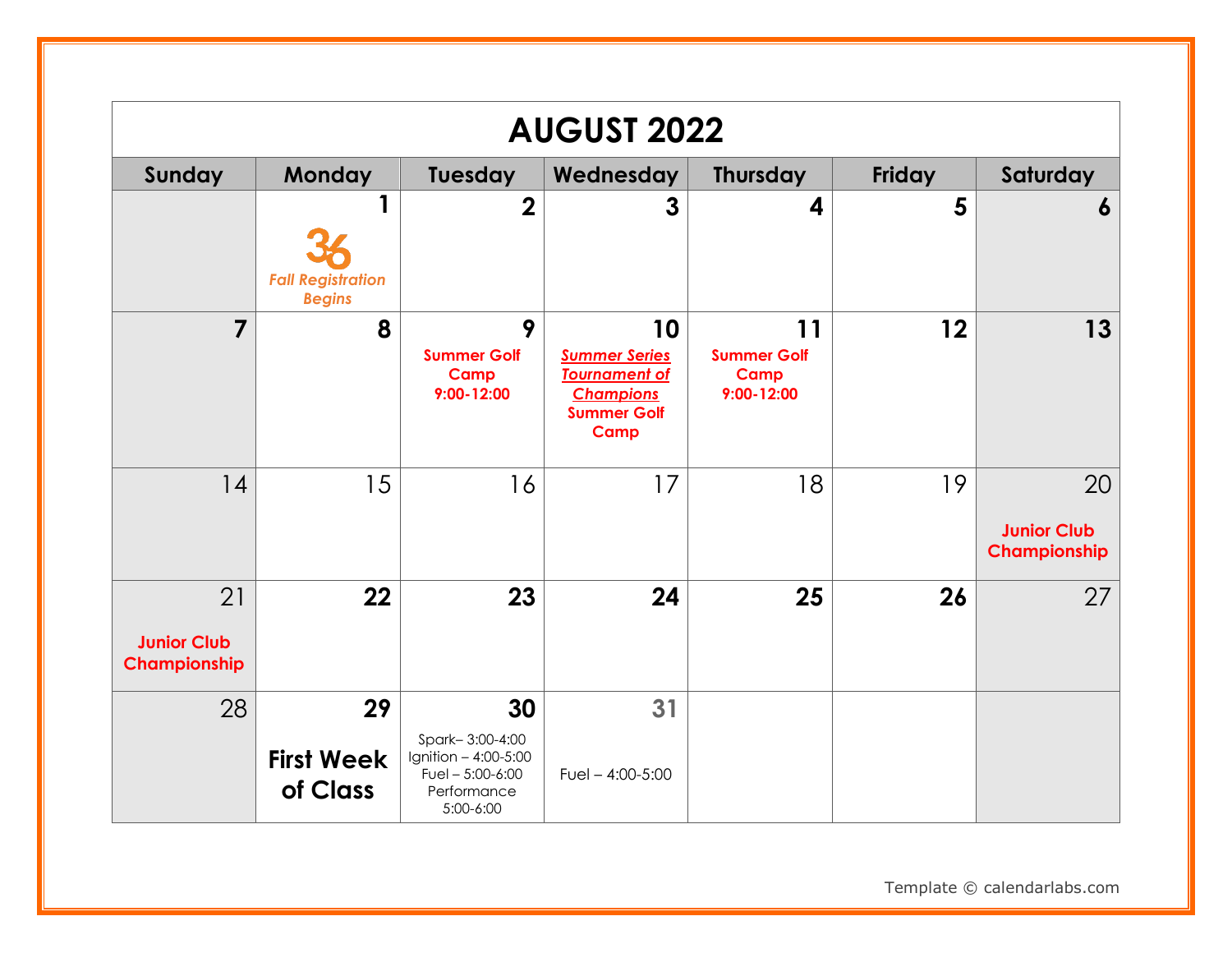|                                          | <b>AUGUST 2022</b>                             |                                                                                                |                                                                                                      |                                                    |        |                                          |  |
|------------------------------------------|------------------------------------------------|------------------------------------------------------------------------------------------------|------------------------------------------------------------------------------------------------------|----------------------------------------------------|--------|------------------------------------------|--|
| Sunday                                   | <b>Monday</b>                                  | Tuesday                                                                                        | Wednesday                                                                                            | <b>Thursday</b>                                    | Friday | Saturday                                 |  |
|                                          | 1<br><b>Fall Registration</b><br><b>Begins</b> | $\overline{2}$                                                                                 | 3                                                                                                    | 4                                                  | 5      | 6                                        |  |
| $\overline{7}$                           | 8                                              | 9<br><b>Summer Golf</b><br>Camp<br>$9:00 - 12:00$                                              | 10<br><b>Summer Series</b><br><b>Tournament of</b><br><b>Champions</b><br><b>Summer Golf</b><br>Camp | 11<br><b>Summer Golf</b><br>Camp<br>$9:00 - 12:00$ | 12     | 13                                       |  |
| 14                                       | 15                                             | 16                                                                                             | 17                                                                                                   | 18                                                 | 19     | 20<br><b>Junior Club</b><br>Championship |  |
| 21<br><b>Junior Club</b><br>Championship | 22                                             | 23                                                                                             | 24                                                                                                   | 25                                                 | 26     | 27                                       |  |
| 28                                       | 29<br><b>First Week</b><br>of Class            | 30<br>Spark-3:00-4:00<br>Ignition - 4:00-5:00<br>Fuel $-5:00-6:00$<br>Performance<br>5:00-6:00 | 31<br>Fuel $- 4:00 - 5:00$                                                                           |                                                    |        |                                          |  |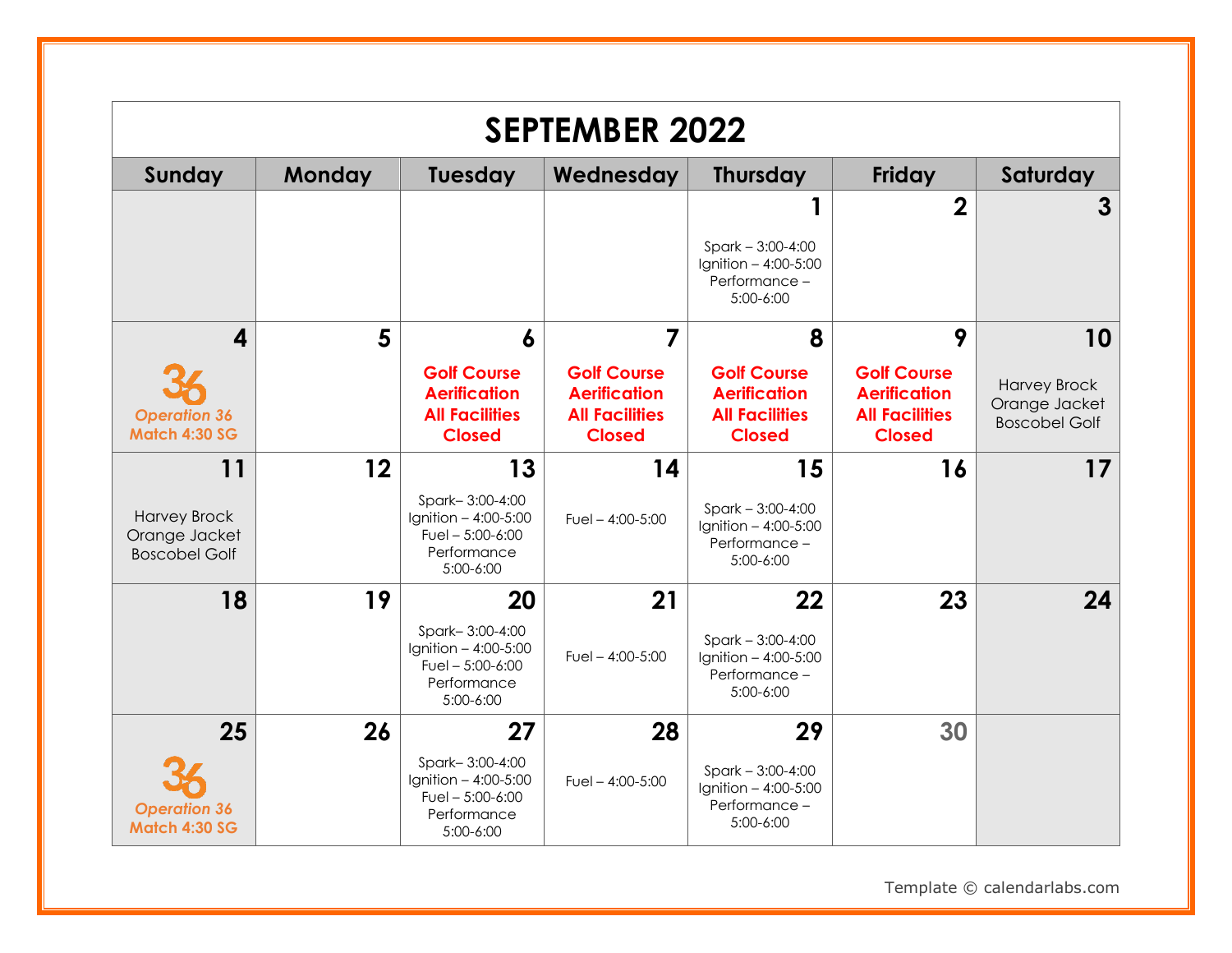|                                                              |        |                                                                                           | <b>SEPTEMBER 2022</b>                                                               |                                                                                     |                                                                                     |                                                              |
|--------------------------------------------------------------|--------|-------------------------------------------------------------------------------------------|-------------------------------------------------------------------------------------|-------------------------------------------------------------------------------------|-------------------------------------------------------------------------------------|--------------------------------------------------------------|
| Sunday                                                       | Monday | <b>Tuesday</b>                                                                            | Wednesday                                                                           | <b>Thursday</b>                                                                     | <b>Friday</b>                                                                       | Saturday                                                     |
|                                                              |        |                                                                                           |                                                                                     | $Spark - 3:00-4:00$<br>Ignition $-4:00-5:00$<br>Performance-<br>5:00-6:00           | $\overline{2}$                                                                      | $\mathbf{3}$                                                 |
| $\overline{\mathbf{4}}$                                      | 5      | $\boldsymbol{6}$                                                                          | 7                                                                                   | 8                                                                                   | 9                                                                                   | 10                                                           |
| <b>Operation 36</b><br><b>Match 4:30 SG</b>                  |        | <b>Golf Course</b><br><b>Aerification</b><br><b>All Facilities</b><br><b>Closed</b>       | <b>Golf Course</b><br><b>Aerification</b><br><b>All Facilities</b><br><b>Closed</b> | <b>Golf Course</b><br><b>Aerification</b><br><b>All Facilities</b><br><b>Closed</b> | <b>Golf Course</b><br><b>Aerification</b><br><b>All Facilities</b><br><b>Closed</b> | <b>Harvey Brock</b><br>Orange Jacket<br><b>Boscobel Golf</b> |
| 11                                                           | 12     | 13                                                                                        | 14                                                                                  | 15                                                                                  | 16                                                                                  | 17                                                           |
| <b>Harvey Brock</b><br>Orange Jacket<br><b>Boscobel Golf</b> |        | Spark-3:00-4:00<br>Ignition $-4:00-5:00$<br>Fuel $-5:00-6:00$<br>Performance<br>5:00-6:00 | Fuel $-4:00-5:00$                                                                   | $Spark - 3:00-4:00$<br>Ignition $-4:00-5:00$<br>Performance-<br>5:00-6:00           |                                                                                     |                                                              |
| 18                                                           | 19     | 20                                                                                        | 21                                                                                  | 22                                                                                  | 23                                                                                  | 24                                                           |
|                                                              |        | Spark-3:00-4:00<br>Ignition - 4:00-5:00<br>Fuel $-5:00-6:00$<br>Performance<br>5:00-6:00  | Fuel $- 4:00 - 5:00$                                                                | $Spark - 3:00-4:00$<br>Ignition - 4:00-5:00<br>Performance-<br>5:00-6:00            |                                                                                     |                                                              |
| 25                                                           | 26     | 27                                                                                        | 28                                                                                  | 29                                                                                  | 30                                                                                  |                                                              |
| <b>Operation 36</b><br>Match 4:30 SG                         |        | Spark-3:00-4:00<br>Ignition $-4:00-5:00$<br>Fuel $-5:00-6:00$<br>Performance<br>5:00-6:00 | Fuel $- 4:00 - 5:00$                                                                | $Spark - 3:00-4:00$<br>Ignition $-4:00-5:00$<br>Performance-<br>5:00-6:00           |                                                                                     |                                                              |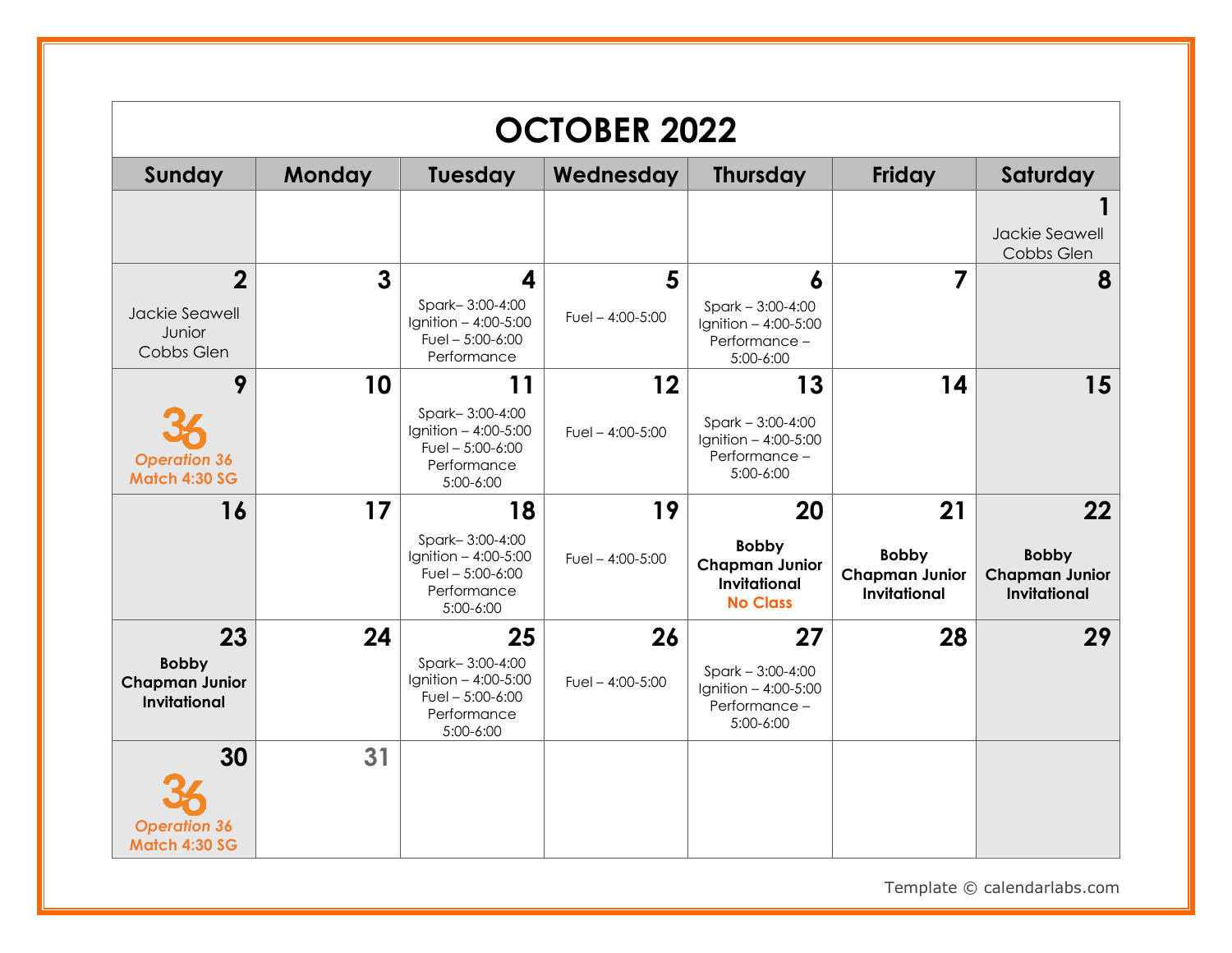|                                                                    |               |                                                                                                | <b>OCTOBER 2022</b>        |                                                                                       |                                                                    |                                                                    |
|--------------------------------------------------------------------|---------------|------------------------------------------------------------------------------------------------|----------------------------|---------------------------------------------------------------------------------------|--------------------------------------------------------------------|--------------------------------------------------------------------|
| <b>Sunday</b>                                                      | <b>Monday</b> | Tuesday                                                                                        | Wednesday                  | <b>Thursday</b>                                                                       | <b>Friday</b>                                                      | Saturday                                                           |
|                                                                    |               |                                                                                                |                            |                                                                                       |                                                                    | Jackie Seawell<br>Cobbs Glen                                       |
| $\overline{2}$<br>Jackie Seawell<br>Junior<br>Cobbs Glen           | 3             | 4<br>Spark-3:00-4:00<br>Ignition - 4:00-5:00<br>Fuel $-5:00-6:00$<br>Performance               | 5<br>Fuel $- 4:00 - 5:00$  | 6<br>$Spark - 3:00-4:00$<br>Ignition $-4:00-5:00$<br>Performance -<br>5:00-6:00       | 7                                                                  | 8                                                                  |
| 9<br><b>Operation 36</b><br><b>Match 4:30 SG</b>                   | 10            | 11<br>Spark-3:00-4:00<br>Ignition - 4:00-5:00<br>Fuel $-5:00-6:00$<br>Performance<br>5:00-6:00 | 12<br>Fuel $- 4:00 - 5:00$ | 13<br>$Spark - 3:00-4:00$<br>Ignition $-4:00-5:00$<br>Performance-<br>5:00-6:00       | 14                                                                 | 15                                                                 |
| 16                                                                 | 17            | 18<br>Spark-3:00-4:00<br>Ignition - 4:00-5:00<br>Fuel $-5:00-6:00$<br>Performance<br>5:00-6:00 | 19<br>Fuel $- 4:00 - 5:00$ | 20<br><b>Bobby</b><br><b>Chapman Junior</b><br><b>Invitational</b><br><b>No Class</b> | 21<br><b>Bobby</b><br><b>Chapman Junior</b><br><b>Invitational</b> | 22<br><b>Bobby</b><br><b>Chapman Junior</b><br><b>Invitational</b> |
| 23<br><b>Bobby</b><br><b>Chapman Junior</b><br><b>Invitational</b> | 24            | 25<br>Spark-3:00-4:00<br>Ignition - 4:00-5:00<br>Fuel $-5:00-6:00$<br>Performance<br>5:00-6:00 | 26<br>Fuel $- 4:00 - 5:00$ | 27<br>$Spark - 3:00-4:00$<br>Ignition - 4:00-5:00<br>Performance-<br>5:00-6:00        | 28                                                                 | 29                                                                 |
| 30<br><b>Operation 36</b><br>Match 4:30 SG                         | 31            |                                                                                                |                            |                                                                                       |                                                                    |                                                                    |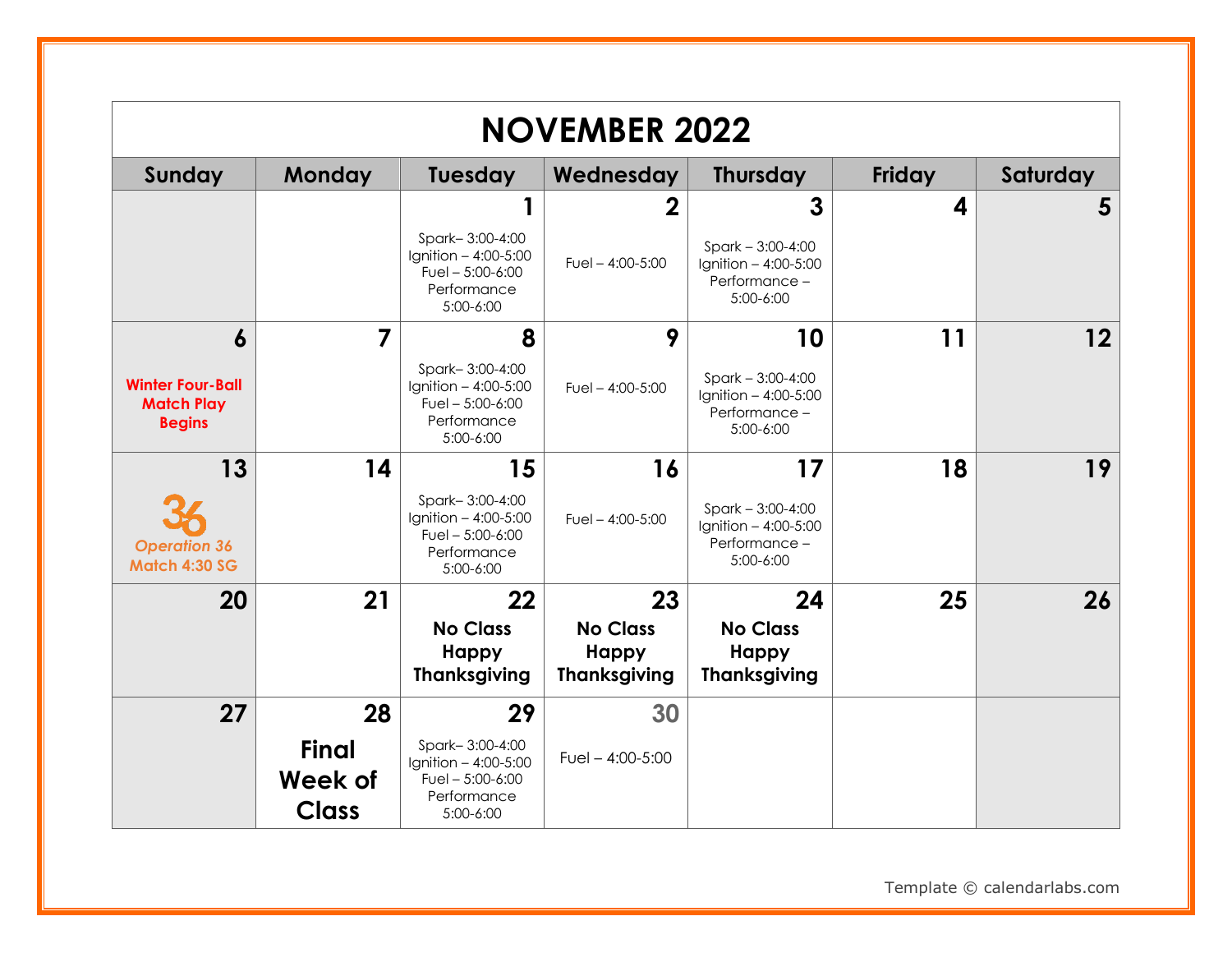|                                                               |                                                |                                                                                          | <b>NOVEMBER 2022</b>                            |                                                                             |        |          |
|---------------------------------------------------------------|------------------------------------------------|------------------------------------------------------------------------------------------|-------------------------------------------------|-----------------------------------------------------------------------------|--------|----------|
| Sunday                                                        | <b>Monday</b>                                  | <b>Tuesday</b>                                                                           | Wednesday                                       | <b>Thursday</b>                                                             | Friday | Saturday |
|                                                               |                                                | 1                                                                                        | $\mathbf 2$                                     | 3                                                                           | 4      | 5        |
|                                                               |                                                | Spark-3:00-4:00<br>Ignition - 4:00-5:00<br>Fuel $-5:00-6:00$<br>Performance<br>5:00-6:00 | Fuel $- 4:00 - 5:00$                            | $Spark - 3:00-4:00$<br>Ignition - 4:00-5:00<br>Performance -<br>5:00-6:00   |        |          |
| $\boldsymbol{6}$                                              | $\overline{7}$                                 | 8                                                                                        | 9                                               | 10                                                                          | 11     | 12       |
| <b>Winter Four-Ball</b><br><b>Match Play</b><br><b>Begins</b> |                                                | Spark-3:00-4:00<br>Ignition - 4:00-5:00<br>Fuel $-5:00-6:00$<br>Performance<br>5:00-6:00 | Fuel $-$ 4:00-5:00                              | $Spark - 3:00-4:00$<br>Ignition $-4:00-5:00$<br>Performance-<br>$5:00-6:00$ |        |          |
| 13                                                            | 14                                             | 15                                                                                       | 16                                              | 17                                                                          | 18     | 19       |
| <b>Operation 36</b><br><b>Match 4:30 SG</b>                   |                                                | Spark-3:00-4:00<br>Ignition - 4:00-5:00<br>Fuel $-5:00-6:00$<br>Performance<br>5:00-6:00 | Fuel $- 4:00 - 5:00$                            | $Spark - 3:00-4:00$<br>Ignition $-4:00-5:00$<br>Performance -<br>5:00-6:00  |        |          |
| 20                                                            | 21                                             | 22                                                                                       | 23                                              | 24                                                                          | 25     | 26       |
|                                                               |                                                | <b>No Class</b><br><b>Happy</b><br><b>Thanksgiving</b>                                   | <b>No Class</b><br>Happy<br><b>Thanksgiving</b> | <b>No Class</b><br><b>Happy</b><br><b>Thanksgiving</b>                      |        |          |
| 27                                                            | 28                                             | 29                                                                                       | 30                                              |                                                                             |        |          |
|                                                               | <b>Final</b><br><b>Week of</b><br><b>Class</b> | Spark-3:00-4:00<br>Ignition - 4:00-5:00<br>Fuel $-5:00-6:00$<br>Performance<br>5:00-6:00 | Fuel $- 4:00 - 5:00$                            |                                                                             |        |          |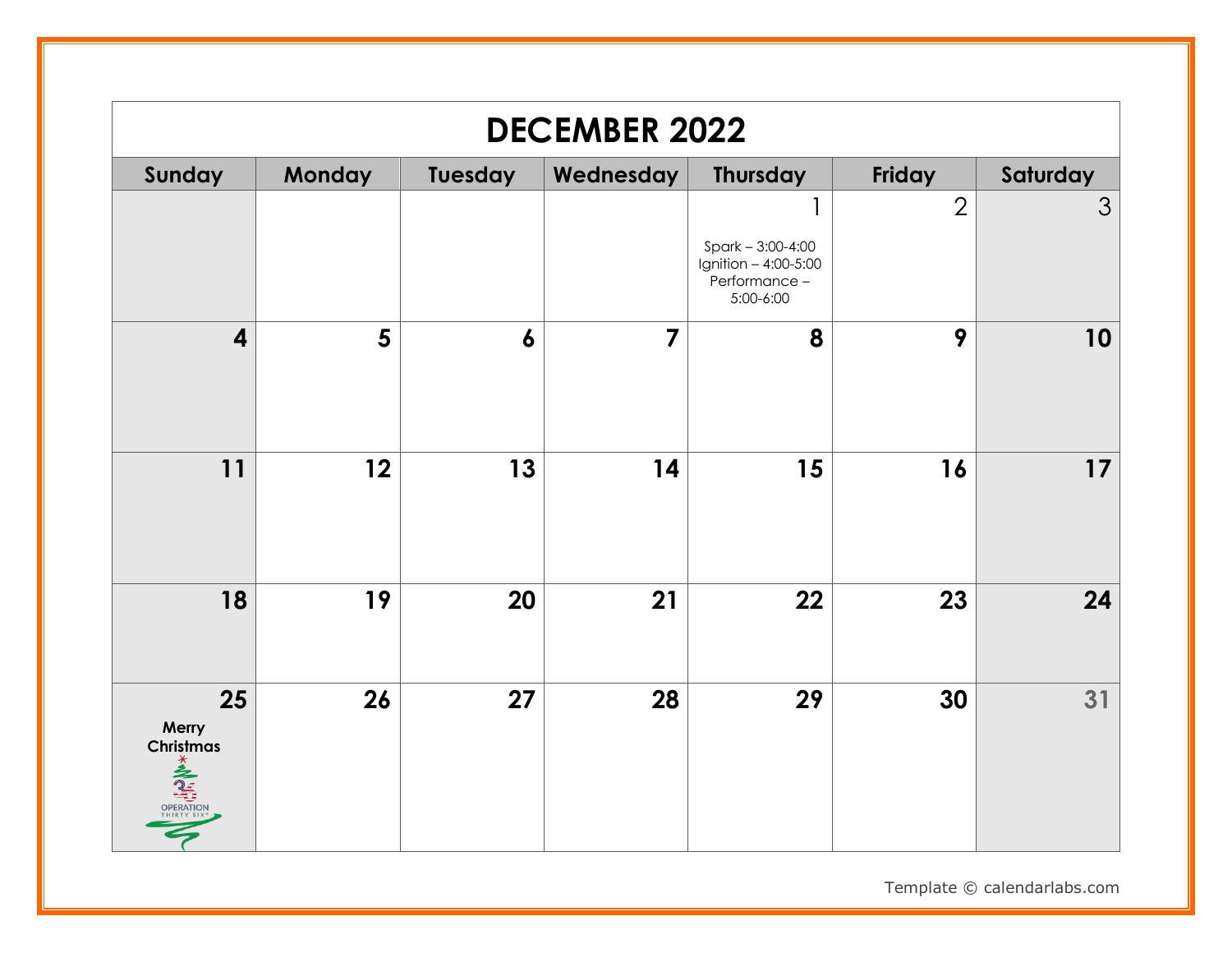|                                       | <b>DECEMBER 2022</b> |                  |                |                                                                            |                |          |  |  |
|---------------------------------------|----------------------|------------------|----------------|----------------------------------------------------------------------------|----------------|----------|--|--|
| Sunday                                | Monday               | Tuesday          | Wednesday      | <b>Thursday</b>                                                            | Friday         | Saturday |  |  |
|                                       |                      |                  |                | $Spark - 3:00 - 4:00$<br>Ignition - 4:00-5:00<br>Performance-<br>5:00-6:00 | $\overline{2}$ | 3        |  |  |
| $\overline{\mathbf{4}}$               | 5                    | $\boldsymbol{6}$ | $\overline{7}$ | 8                                                                          | 9              | 10       |  |  |
| 11                                    | 12                   | 13               | 14             | 15                                                                         | 16             | 17       |  |  |
| 18                                    | 19                   | 20               | 21             | 22                                                                         | 23             | 24       |  |  |
| 25<br>Merry<br>Christmas<br>OPERATION | 26                   | 27               | 28             | 29                                                                         | 30             | 31       |  |  |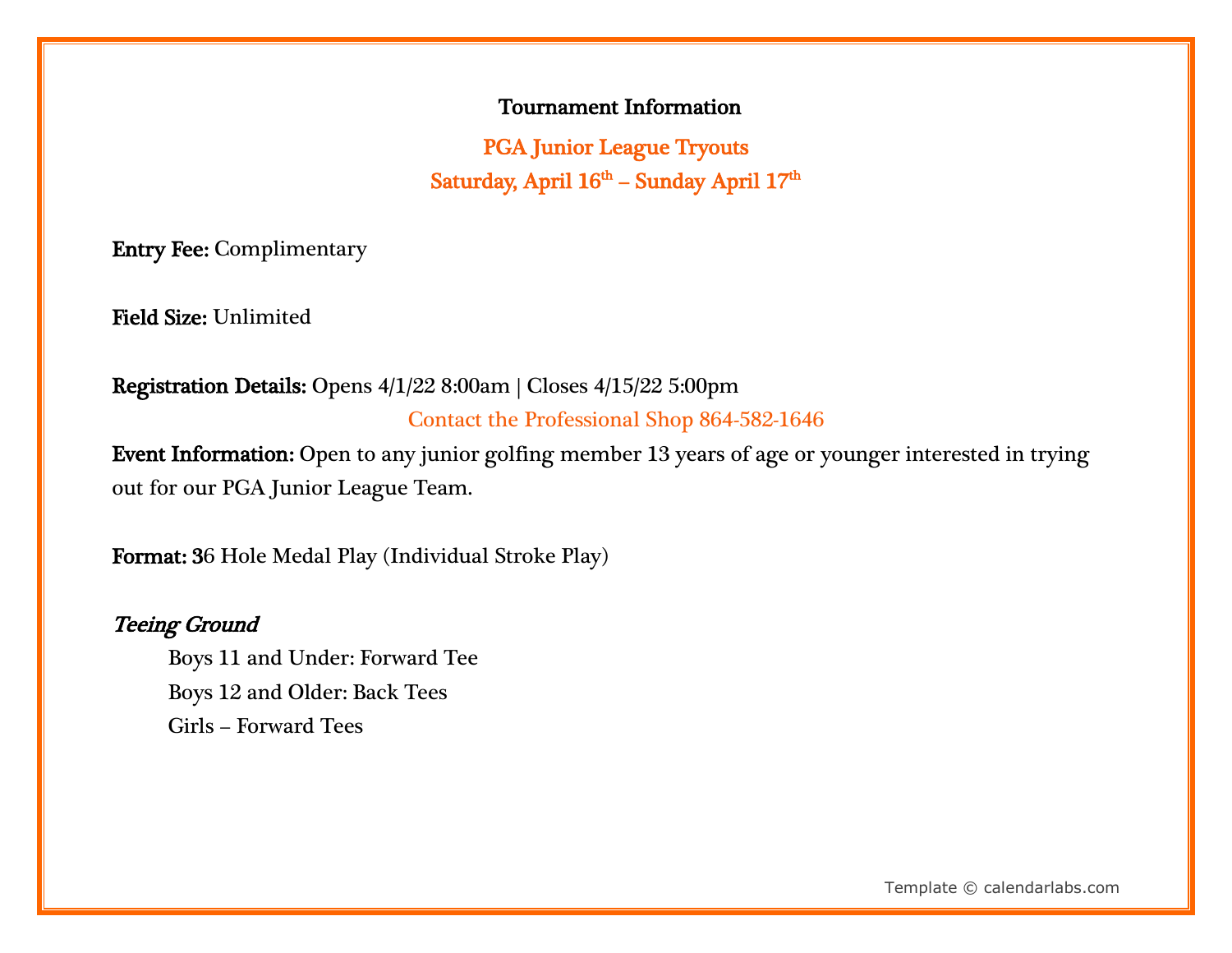#### Tournament Information

PGA Junior League Tryouts Saturday, April 16<sup>th</sup> – Sunday April 17<sup>th</sup>

Entry Fee: Complimentary

Field Size: Unlimited

Registration Details: Opens 4/1/22 8:00am | Closes 4/15/22 5:00pm Contact the Professional Shop 864-582-1646

Event Information: Open to any junior golfing member 13 years of age or younger interested in trying out for our PGA Junior League Team.

Format: 36 Hole Medal Play (Individual Stroke Play)

#### Teeing Ground

 Boys 11 and Under: Forward Tee Boys 12 and Older: Back Tees Girls – Forward Tees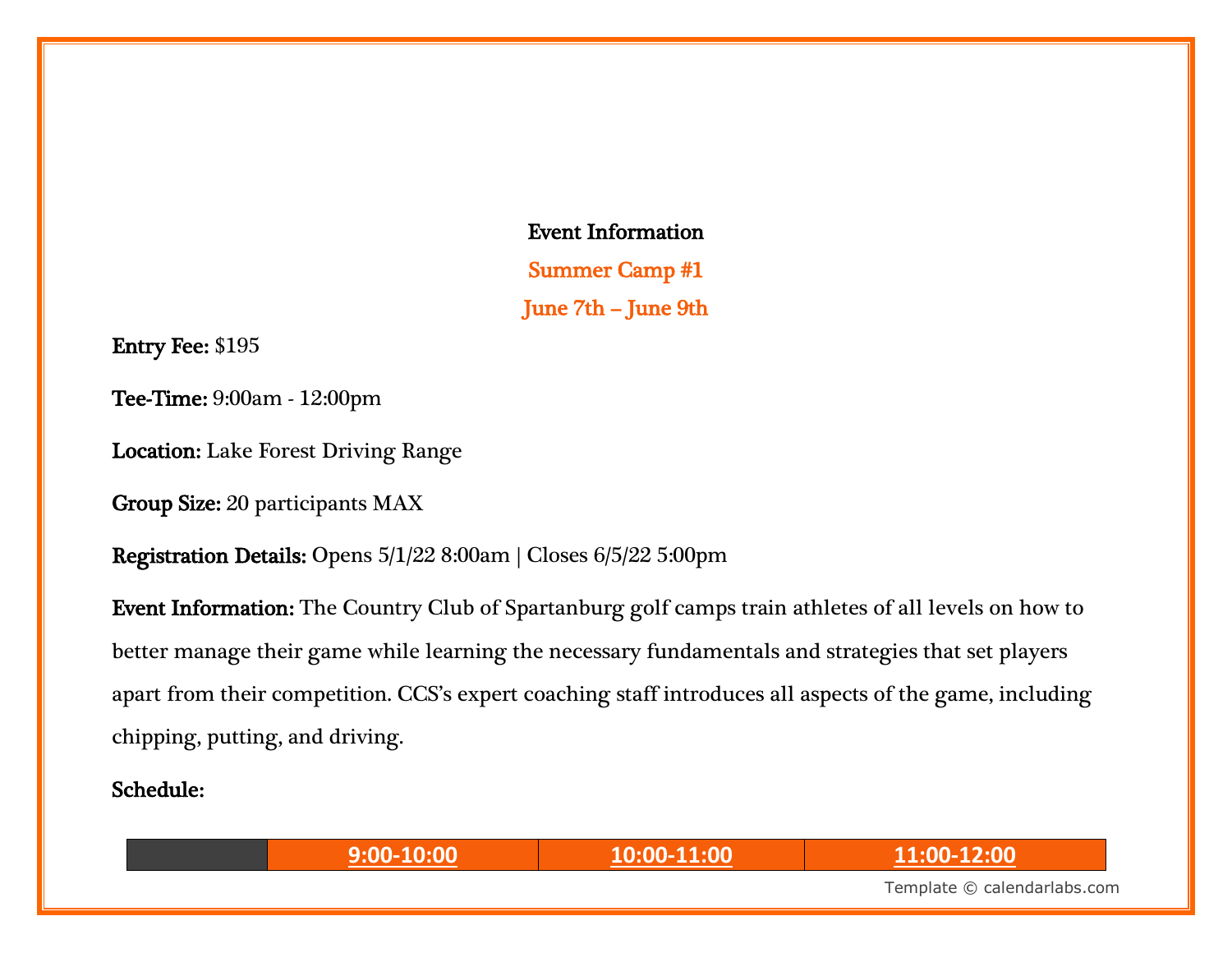Event Information

Summer Camp #1 June 7th – June 9th

Entry Fee: \$195

Tee-Time: 9:00am - 12:00pm

Location: Lake Forest Driving Range

Group Size: 20 participants MAX

Registration Details: Opens 5/1/22 8:00am | Closes 6/5/22 5:00pm

Event Information: The Country Club of Spartanburg golf camps train athletes of all levels on how to better manage their game while learning the necessary fundamentals and strategies that set players apart from their competition. CCS's expert coaching staff introduces all aspects of the game, including chipping, putting, and driving.

Schedule:

**9:00-10:00 10:00-11:00 11:00-12:00**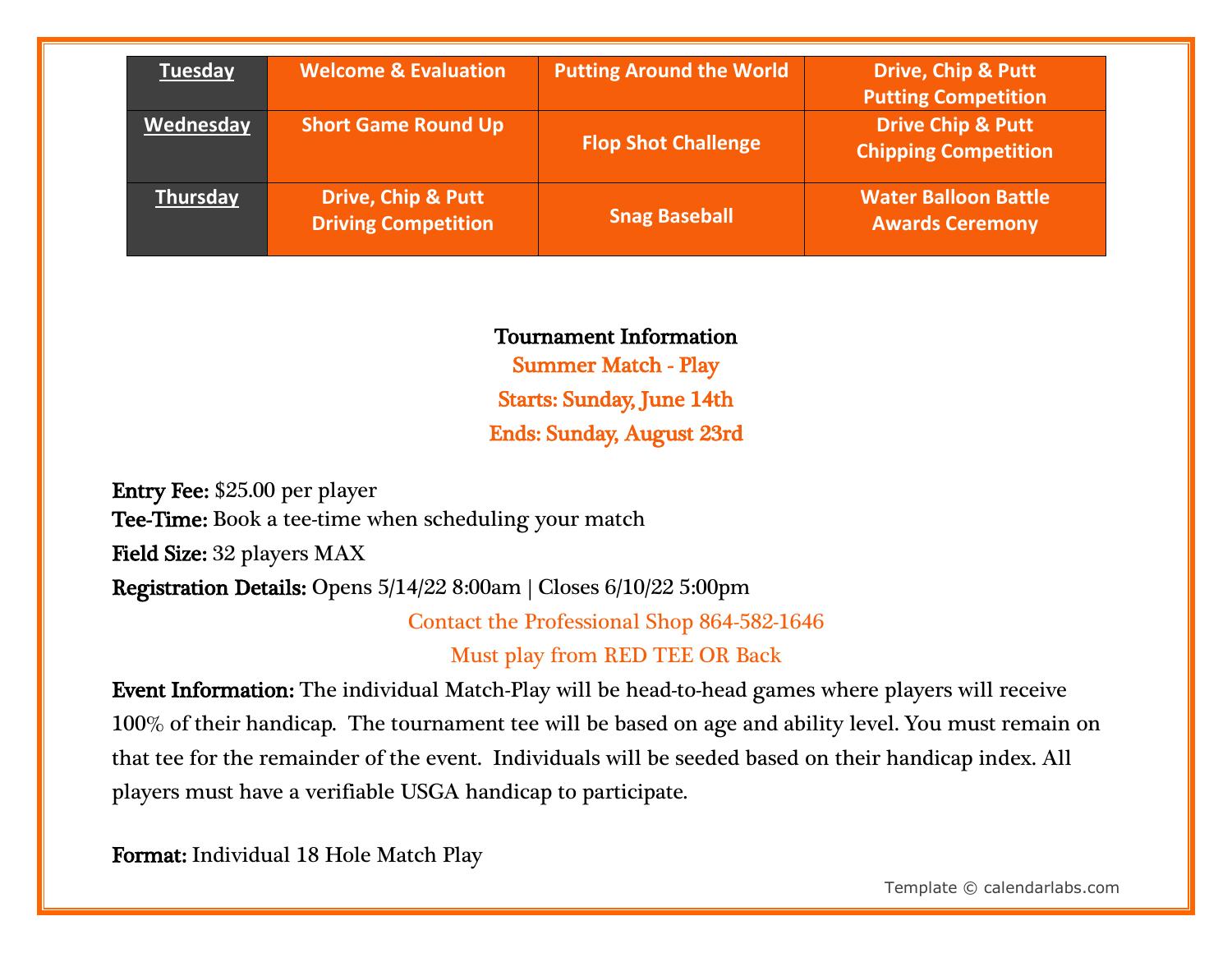| <b>Tuesday</b>  | <b>Welcome &amp; Evaluation</b>                             | <b>Putting Around the World</b> | <b>Drive, Chip &amp; Putt</b><br><b>Putting Competition</b> |
|-----------------|-------------------------------------------------------------|---------------------------------|-------------------------------------------------------------|
| Wednesday       | <b>Short Game Round Up</b>                                  | <b>Flop Shot Challenge</b>      | <b>Drive Chip &amp; Putt</b><br><b>Chipping Competition</b> |
| <b>Thursday</b> | <b>Drive, Chip &amp; Putt</b><br><b>Driving Competition</b> | <b>Snag Baseball</b>            | <b>Water Balloon Battle</b><br><b>Awards Ceremony</b>       |

#### Tournament Information

Summer Match - Play Starts: Sunday, June 14th Ends: Sunday, August 23rd

Entry Fee: \$25.00 per player Tee-Time: Book a tee-time when scheduling your match Field Size: 32 players MAX Registration Details: Opens 5/14/22 8:00am | Closes 6/10/22 5:00pm

Contact the Professional Shop 864-582-1646

Must play from RED TEE OR Back

Event Information: The individual Match-Play will be head-to-head games where players will receive 100% of their handicap. The tournament tee will be based on age and ability level. You must remain on that tee for the remainder of the event. Individuals will be seeded based on their handicap index. All players must have a verifiable USGA handicap to participate.

Format: Individual 18 Hole Match Play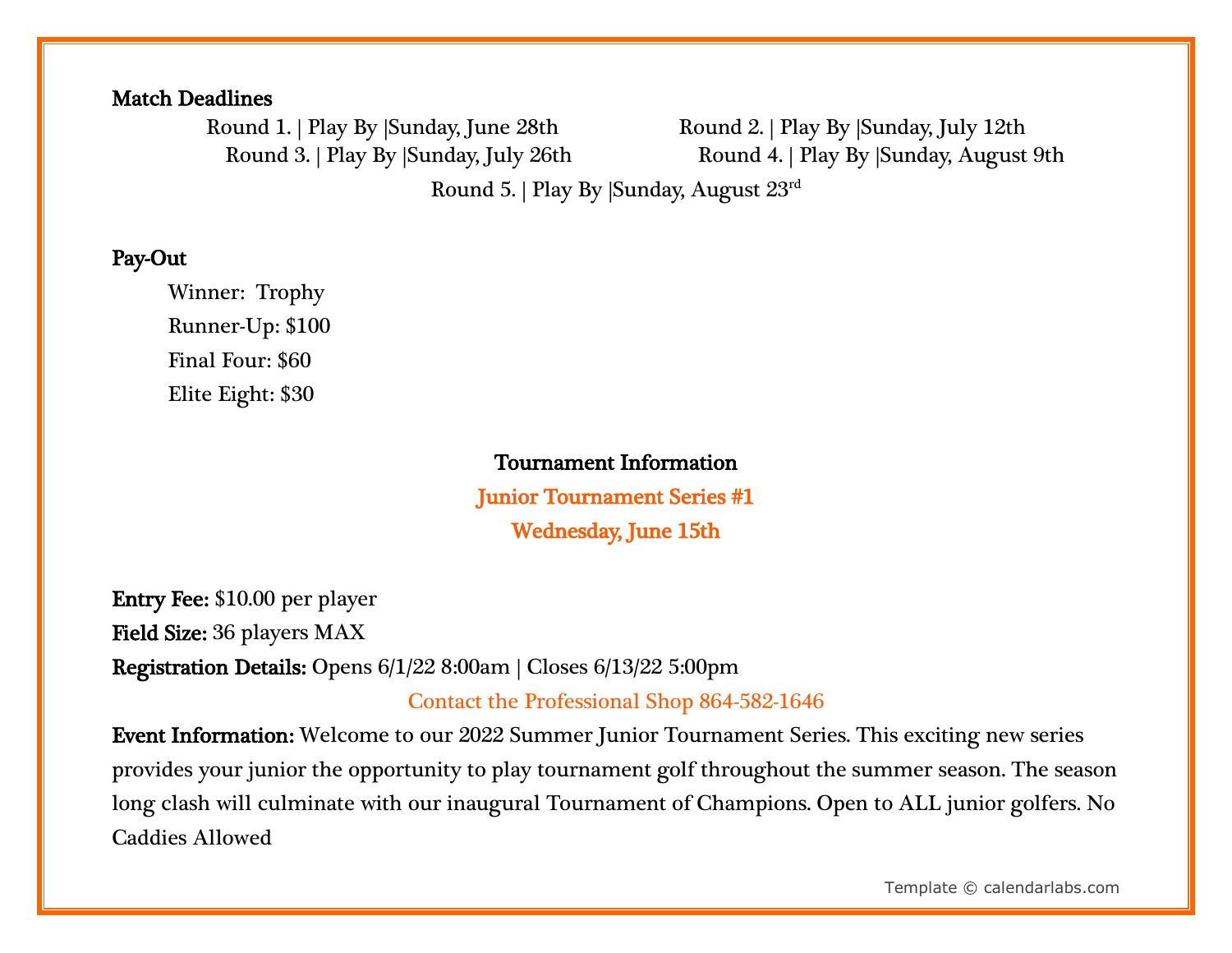#### Match Deadlines

Round 1. | Play By |Sunday, June 28th Round 2. | Play By |Sunday, July 12th

Round 3. | Play By |Sunday, July 26th Round 4. | Play By |Sunday, August 9th

Round 5. | Play By |Sunday, August 23rd

#### Pay-Out

Winner: Trophy Runner-Up: \$100 Final Four: \$60 Elite Eight: \$30

#### Tournament Information

Junior Tournament Series #1 Wednesday, June 15th

Entry Fee: \$10.00 per player Field Size: 36 players MAX Registration Details: Opens 6/1/22 8:00am | Closes 6/13/22 5:00pm

Contact the Professional Shop 864-582-1646

Event Information: Welcome to our 2022 Summer Junior Tournament Series. This exciting new series provides your junior the opportunity to play tournament golf throughout the summer season. The season long clash will culminate with our inaugural Tournament of Champions. Open to ALL junior golfers. No Caddies Allowed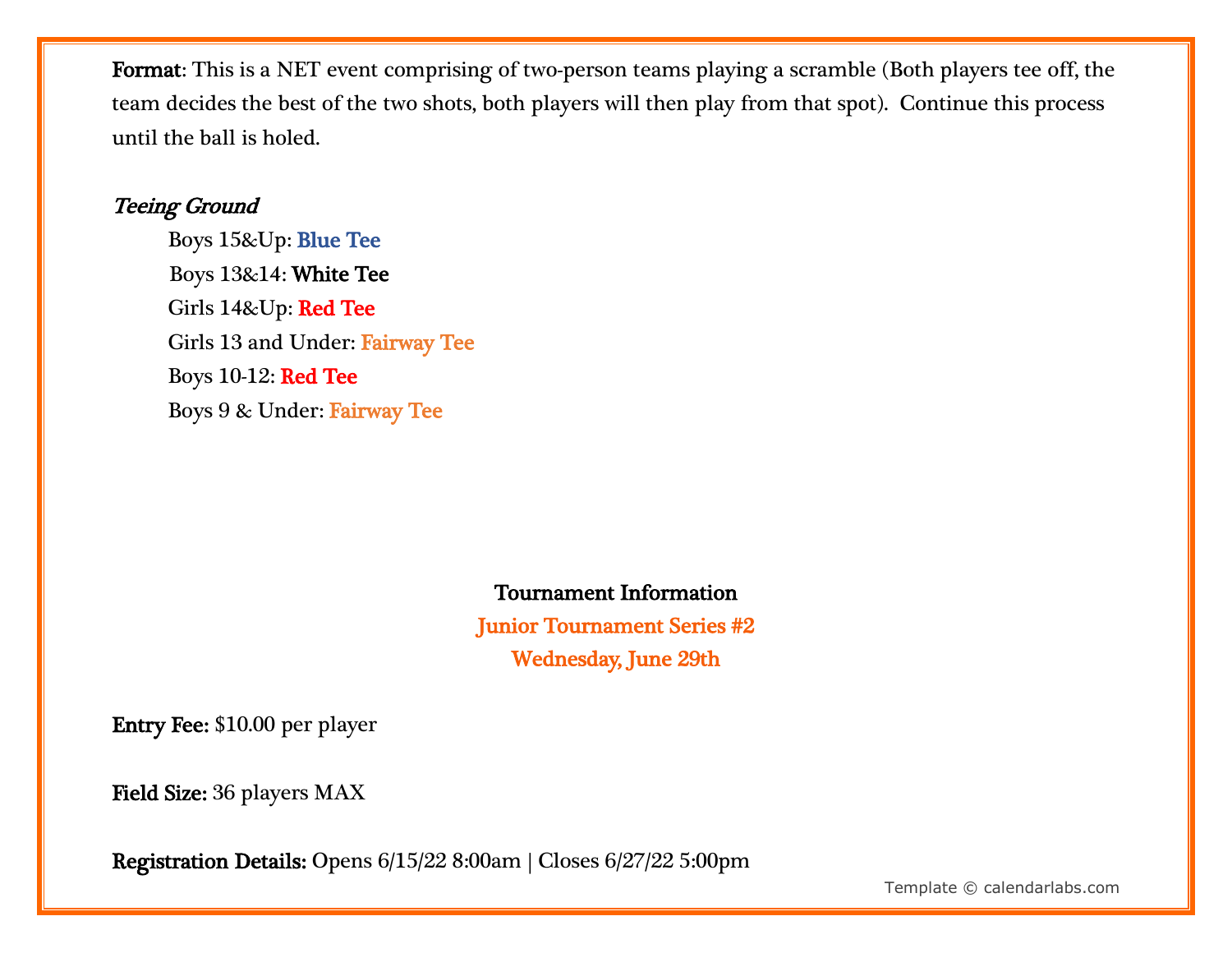Format: This is a NET event comprising of two-person teams playing a scramble (Both players tee off, the team decides the best of the two shots, both players will then play from that spot). Continue this process until the ball is holed.

### Teeing Ground

 Boys 15&Up: Blue Tee Boys 13&14: White Tee Girls 14&Up: Red Tee Girls 13 and Under: Fairway Tee Boys 10-12: Red Tee Boys 9 & Under: Fairway Tee

# Tournament Information

Junior Tournament Series #2 Wednesday, June 29th

Entry Fee: \$10.00 per player

Field Size: 36 players MAX

Registration Details: Opens 6/15/22 8:00am | Closes 6/27/22 5:00pm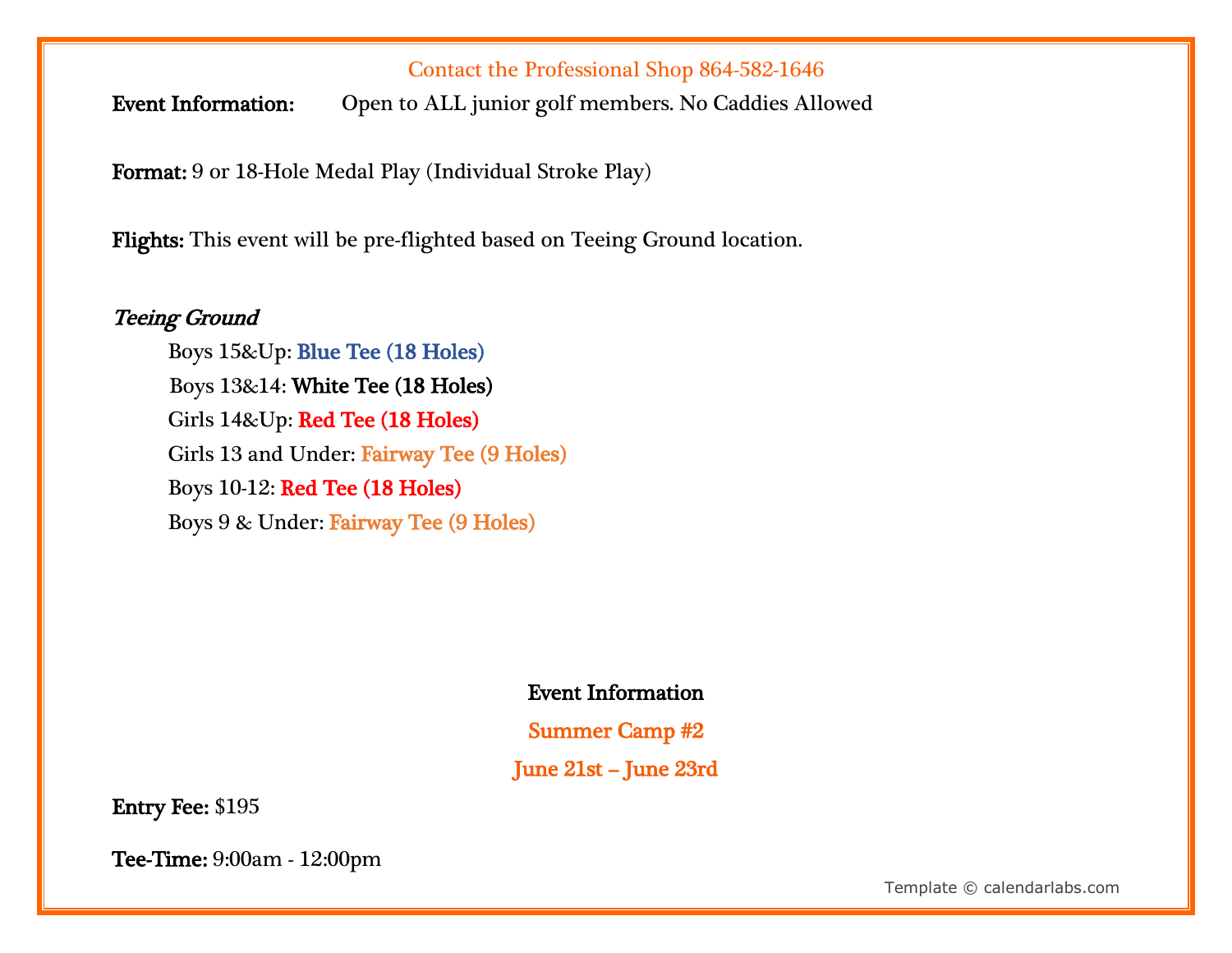#### Contact the Professional Shop 864-582-1646

Event Information: Open to ALL junior golf members. No Caddies Allowed

Format: 9 or 18-Hole Medal Play (Individual Stroke Play)

Flights: This event will be pre-flighted based on Teeing Ground location.

#### Teeing Ground

 Boys 15&Up: Blue Tee (18 Holes) Boys 13&14: White Tee (18 Holes) Girls 14&Up: Red Tee (18 Holes) Girls 13 and Under: Fairway Tee (9 Holes) Boys 10-12: Red Tee (18 Holes) Boys 9 & Under: Fairway Tee (9 Holes)

#### Event Information

Summer Camp #2

June 21st – June 23rd

Entry Fee: \$195

Tee-Time: 9:00am - 12:00pm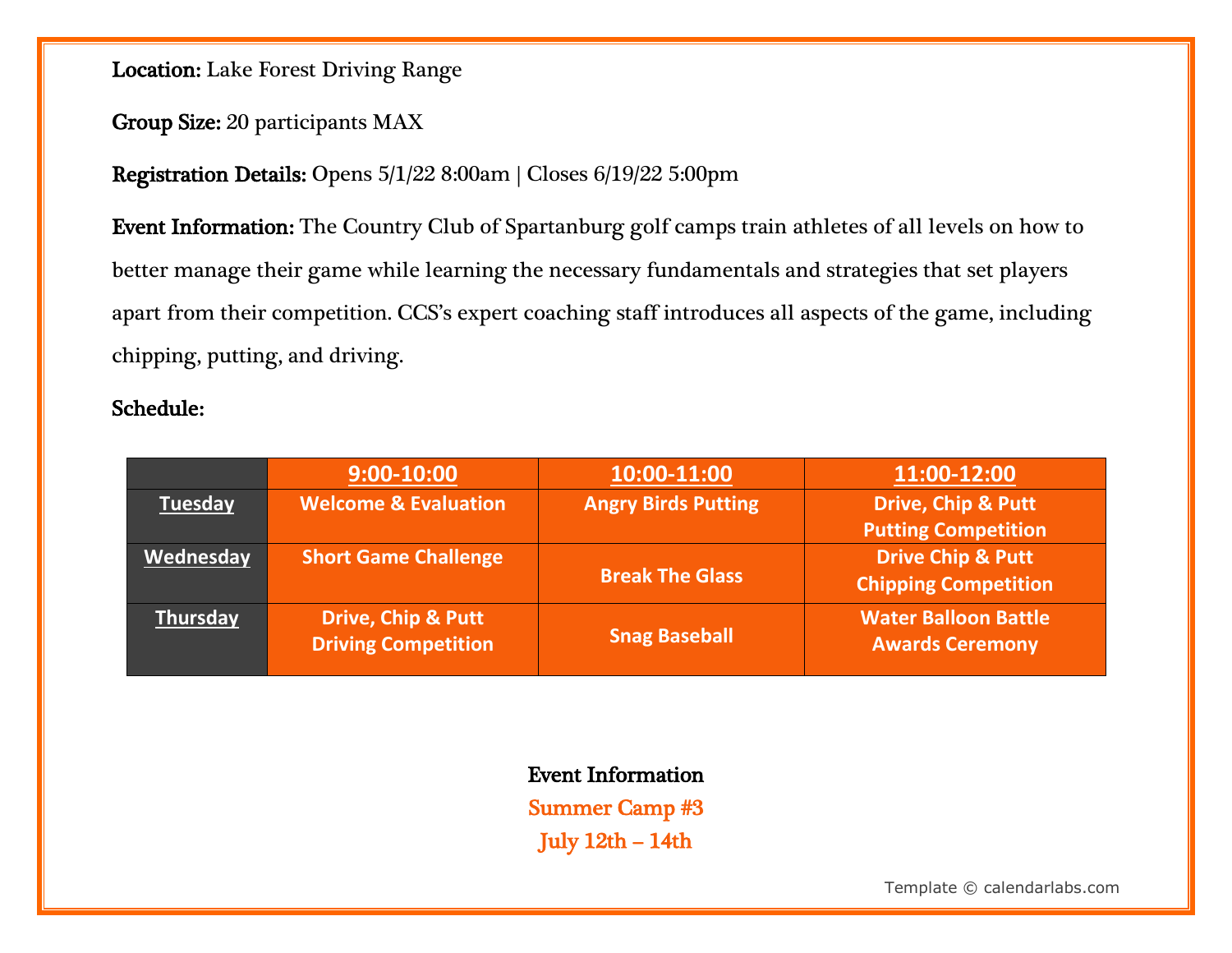Location: Lake Forest Driving Range

#### Group Size: 20 participants MAX

#### Registration Details: Opens 5/1/22 8:00am | Closes 6/19/22 5:00pm

Event Information: The Country Club of Spartanburg golf camps train athletes of all levels on how to better manage their game while learning the necessary fundamentals and strategies that set players apart from their competition. CCS's expert coaching staff introduces all aspects of the game, including chipping, putting, and driving.

#### Schedule:

|                | $9:00-10:00$                                                | 10:00-11:00                | 11:00-12:00                                                 |
|----------------|-------------------------------------------------------------|----------------------------|-------------------------------------------------------------|
| <b>Tuesday</b> | <b>Welcome &amp; Evaluation</b>                             | <b>Angry Birds Putting</b> | <b>Drive, Chip &amp; Putt</b><br><b>Putting Competition</b> |
| Wednesday      | <b>Short Game Challenge</b>                                 | <b>Break The Glass</b>     | <b>Drive Chip &amp; Putt</b><br><b>Chipping Competition</b> |
| Thursday       | <b>Drive, Chip &amp; Putt</b><br><b>Driving Competition</b> | <b>Snag Baseball</b>       | <b>Water Balloon Battle</b><br><b>Awards Ceremony</b>       |

# Event Information

Summer Camp #3 July 12th – 14th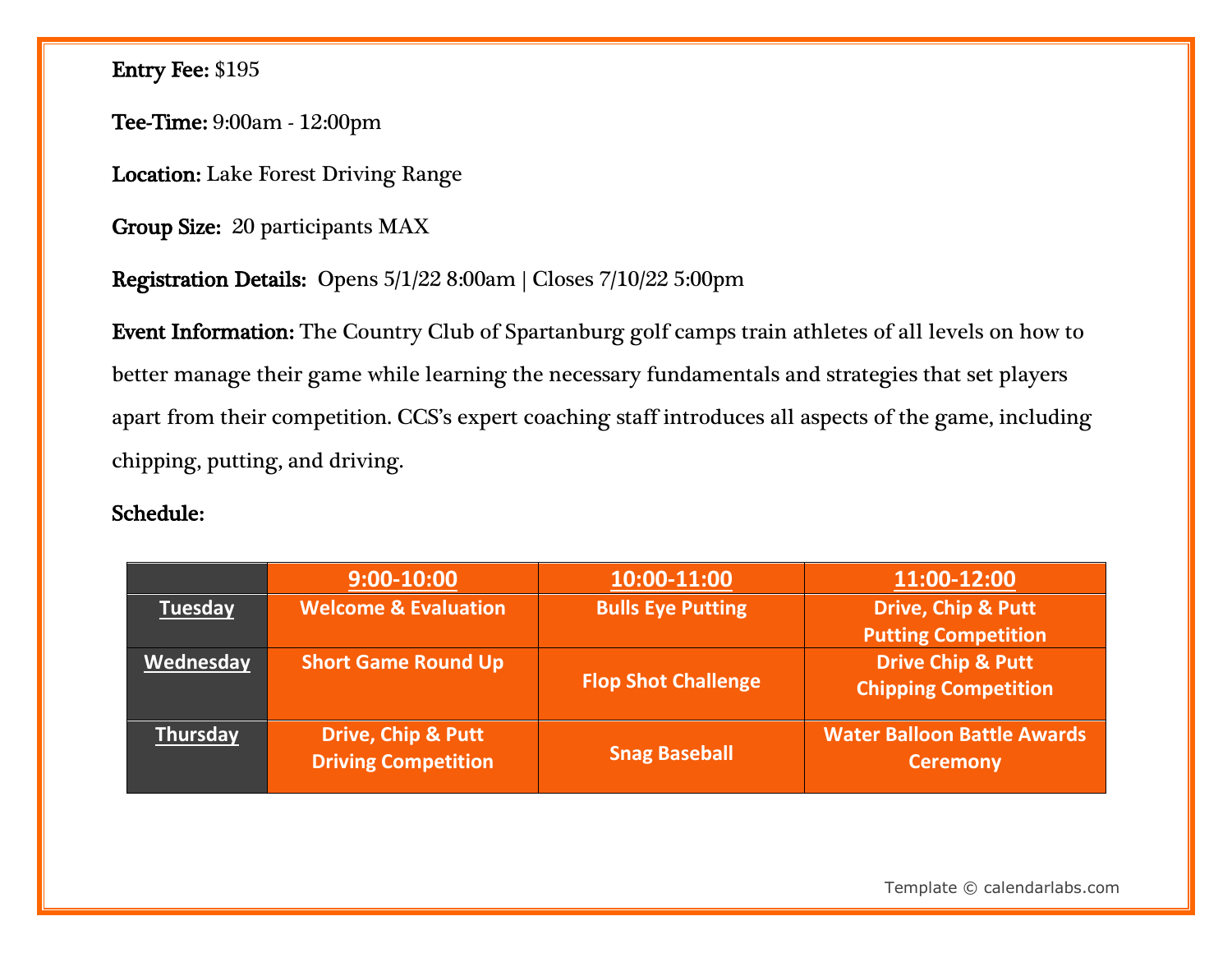# Entry Fee: \$195

Tee-Time: 9:00am - 12:00pm

Location: Lake Forest Driving Range

Group Size: 20 participants MAX

Registration Details: Opens 5/1/22 8:00am | Closes 7/10/22 5:00pm

Event Information: The Country Club of Spartanburg golf camps train athletes of all levels on how to better manage their game while learning the necessary fundamentals and strategies that set players apart from their competition. CCS's expert coaching staff introduces all aspects of the game, including chipping, putting, and driving.

#### Schedule:

|                 | $9:00 - 10:00$                                              | 10:00-11:00                | 11:00-12:00                                                 |
|-----------------|-------------------------------------------------------------|----------------------------|-------------------------------------------------------------|
| <b>Tuesday</b>  | <b>Welcome &amp; Evaluation</b>                             | <b>Bulls Eye Putting</b>   | <b>Drive, Chip &amp; Putt</b><br><b>Putting Competition</b> |
| Wednesday       | <b>Short Game Round Up</b>                                  | <b>Flop Shot Challenge</b> | <b>Drive Chip &amp; Putt</b><br><b>Chipping Competition</b> |
| <b>Thursday</b> | <b>Drive, Chip &amp; Putt</b><br><b>Driving Competition</b> | <b>Snag Baseball</b>       | <b>Water Balloon Battle Awards</b><br><b>Ceremony</b>       |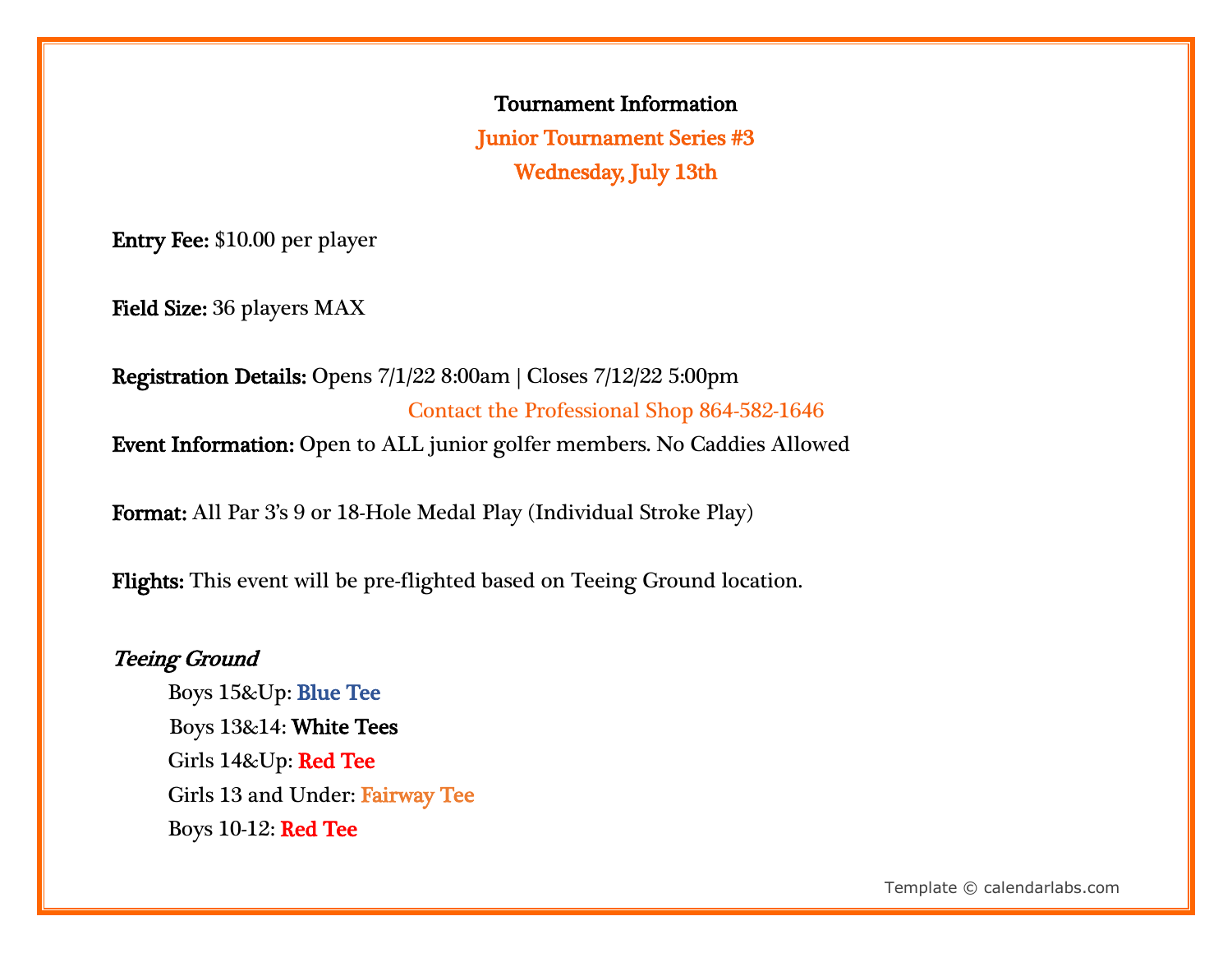Tournament Information Junior Tournament Series #3 Wednesday, July 13th

Entry Fee: \$10.00 per player

Field Size: 36 players MAX

Registration Details: Opens 7/1/22 8:00am | Closes 7/12/22 5:00pm Contact the Professional Shop 864-582-1646 Event Information: Open to ALL junior golfer members. No Caddies Allowed

Format: All Par 3's 9 or 18-Hole Medal Play (Individual Stroke Play)

Flights: This event will be pre-flighted based on Teeing Ground location.

# Teeing Ground

 Boys 15&Up: Blue Tee Boys 13&14: White Tees Girls 14&Up: Red Tee Girls 13 and Under: Fairway Tee Boys 10-12: Red Tee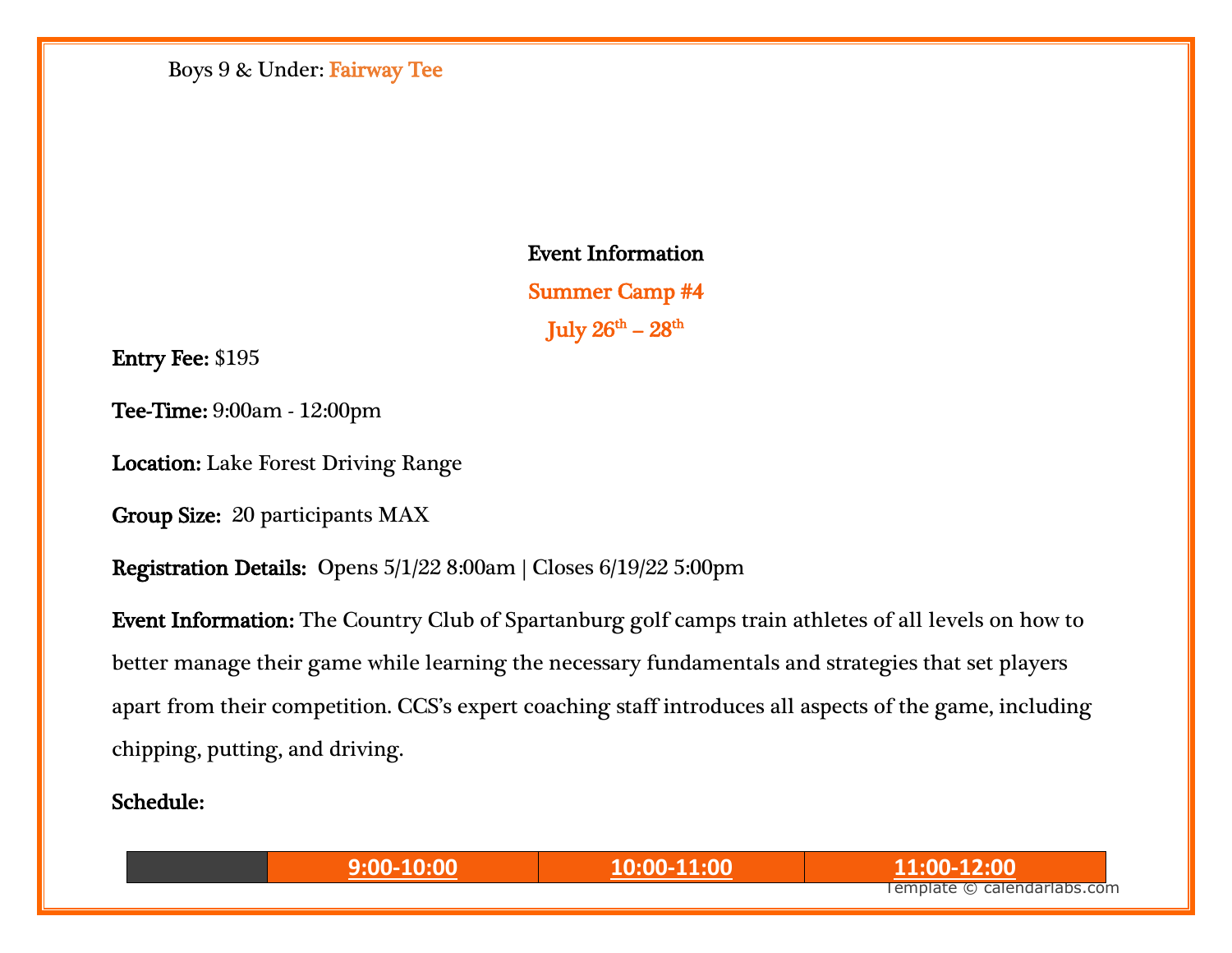Boys 9 & Under: Fairway Tee

Event Information Summer Camp #4 July  $26^{\rm th}$  –  $28^{\rm th}$ 

Entry Fee: \$195

Tee-Time: 9:00am - 12:00pm

Location: Lake Forest Driving Range

Group Size: 20 participants MAX

Registration Details: Opens 5/1/22 8:00am | Closes 6/19/22 5:00pm

Event Information: The Country Club of Spartanburg golf camps train athletes of all levels on how to better manage their game while learning the necessary fundamentals and strategies that set players apart from their competition. CCS's expert coaching staff introduces all aspects of the game, including chipping, putting, and driving.

Schedule:

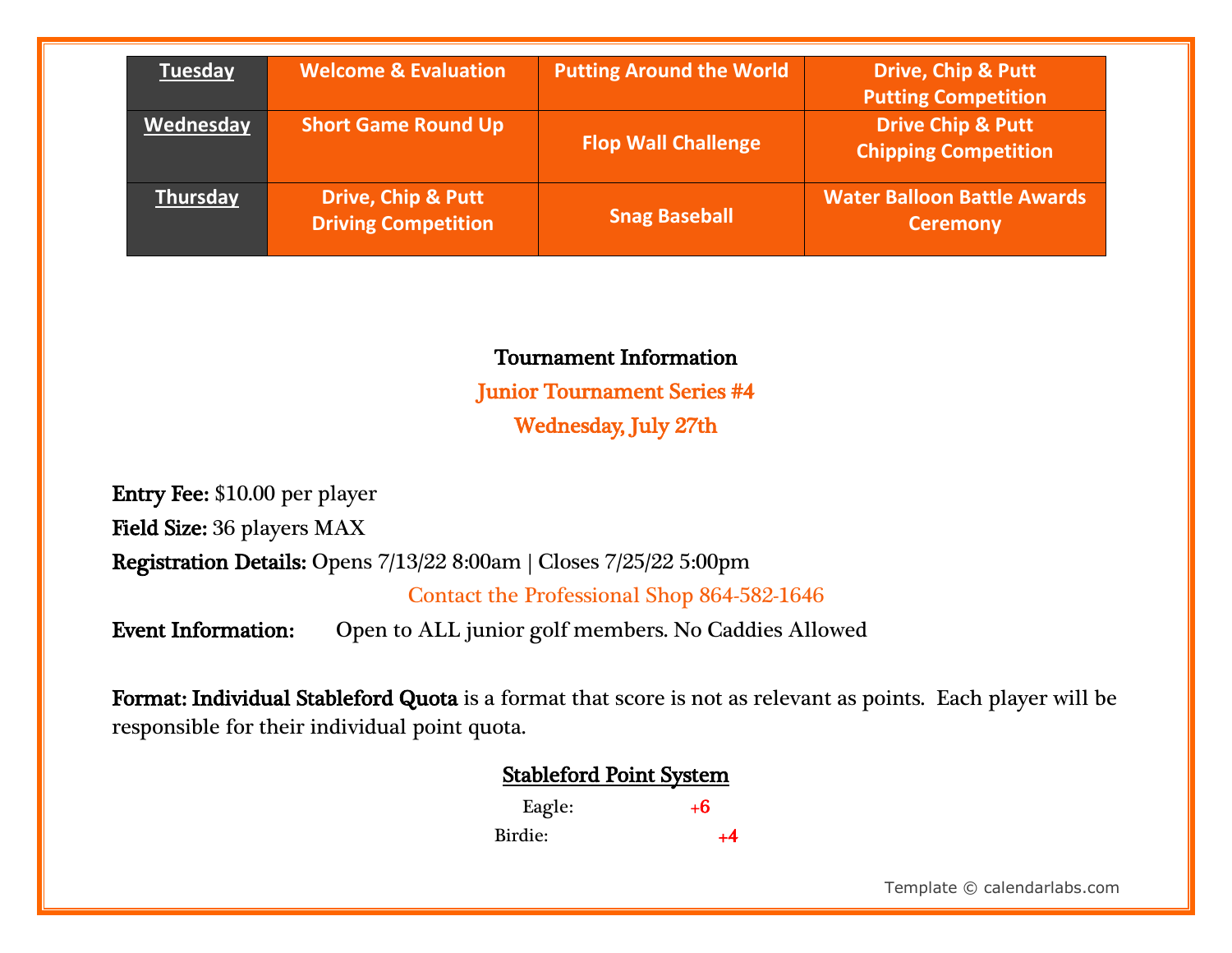| <b>Tuesday</b>  | <b>Welcome &amp; Evaluation</b>                             | <b>Putting Around the World</b> | <b>Drive, Chip &amp; Putt</b><br><b>Putting Competition</b> |
|-----------------|-------------------------------------------------------------|---------------------------------|-------------------------------------------------------------|
| Wednesday       | <b>Short Game Round Up</b>                                  | <b>Flop Wall Challenge</b>      | <b>Drive Chip &amp; Putt</b><br><b>Chipping Competition</b> |
| <b>Thursday</b> | <b>Drive, Chip &amp; Putt</b><br><b>Driving Competition</b> | <b>Snag Baseball</b>            | <b>Water Balloon Battle Awards</b><br><b>Ceremony</b>       |

#### Tournament Information

Junior Tournament Series #4 Wednesday, July 27th

Entry Fee: \$10.00 per player Field Size: 36 players MAX Registration Details: Opens 7/13/22 8:00am | Closes 7/25/22 5:00pm

Contact the Professional Shop 864-582-1646

Event Information: Open to ALL junior golf members. No Caddies Allowed

Format: Individual Stableford Quota is a format that score is not as relevant as points. Each player will be responsible for their individual point quota.

| <b>Stableford Point System</b> |  |  |
|--------------------------------|--|--|
|                                |  |  |

| Eagle:  | +6   |
|---------|------|
| Birdie: | $+4$ |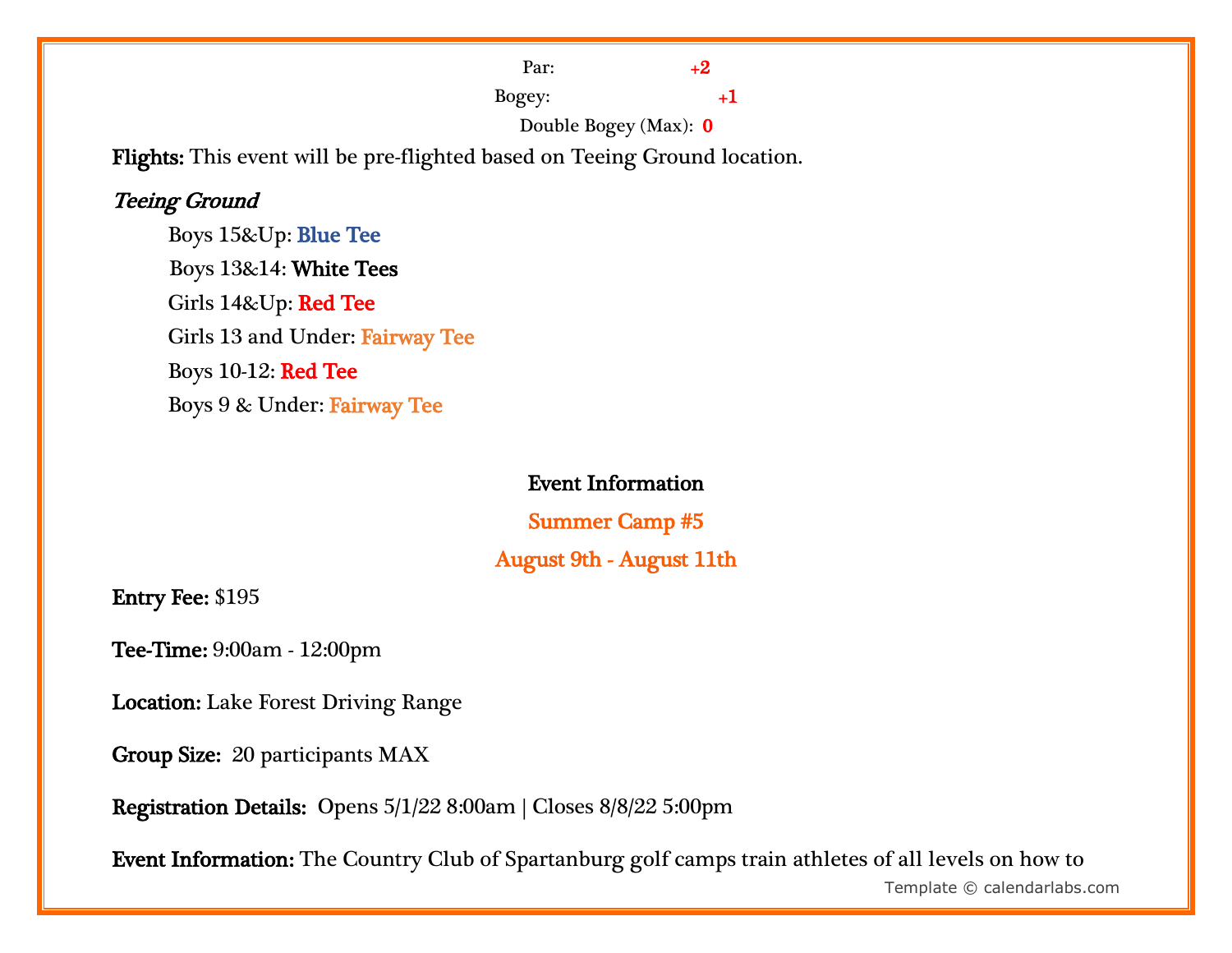Par:  $+2$ Bogey:  $+1$ 

Double Bogey (Max): 0

Flights: This event will be pre-flighted based on Teeing Ground location.

#### Teeing Ground

 Boys 15&Up: Blue Tee Boys 13&14: White Tees Girls 14&Up: Red Tee Girls 13 and Under: Fairway Tee Boys 10-12: Red Tee Boys 9 & Under: Fairway Tee

#### Event Information

Summer Camp #5

# August 9th - August 11th

Entry Fee: \$195

Tee-Time: 9:00am - 12:00pm

Location: Lake Forest Driving Range

Group Size: 20 participants MAX

Registration Details: Opens 5/1/22 8:00am | Closes 8/8/22 5:00pm

Event Information: The Country Club of Spartanburg golf camps train athletes of all levels on how to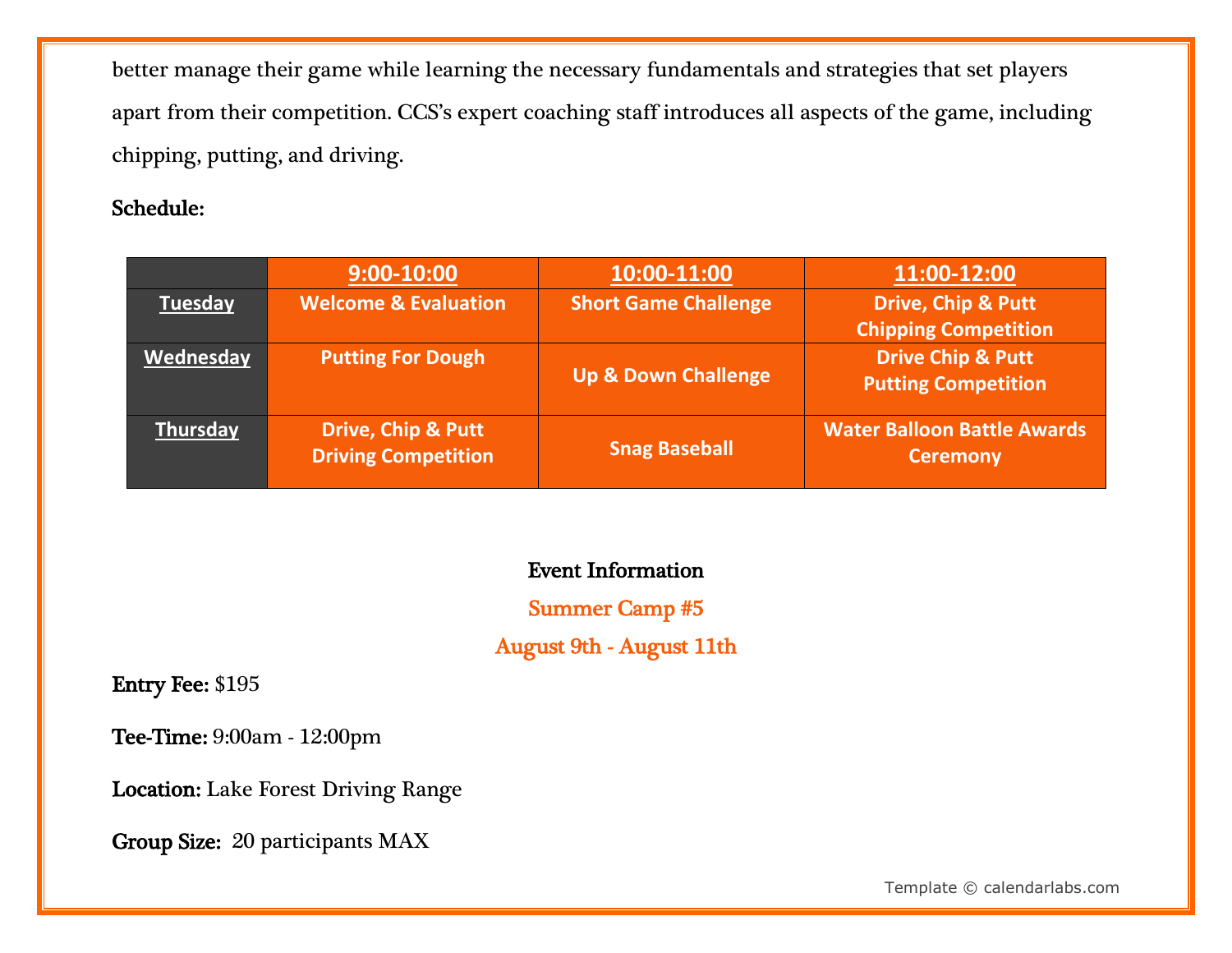better manage their game while learning the necessary fundamentals and strategies that set players apart from their competition. CCS's expert coaching staff introduces all aspects of the game, including chipping, putting, and driving.

#### Schedule:

|                | $9:00 - 10:00$                                              | 10:00-11:00                    | 11:00-12:00                                                  |
|----------------|-------------------------------------------------------------|--------------------------------|--------------------------------------------------------------|
| <b>Tuesday</b> | <b>Welcome &amp; Evaluation</b>                             | <b>Short Game Challenge</b>    | <b>Drive, Chip &amp; Putt</b><br><b>Chipping Competition</b> |
| Wednesday      | <b>Putting For Dough</b>                                    | <b>Up &amp; Down Challenge</b> | <b>Drive Chip &amp; Putt</b><br><b>Putting Competition</b>   |
| Thursday       | <b>Drive, Chip &amp; Putt</b><br><b>Driving Competition</b> | <b>Snag Baseball</b>           | <b>Water Balloon Battle Awards</b><br><b>Ceremony</b>        |

# Event Information

### Summer Camp #5

August 9th - August 11th

Entry Fee: \$195

Tee-Time: 9:00am - 12:00pm

Location: Lake Forest Driving Range

Group Size: 20 participants MAX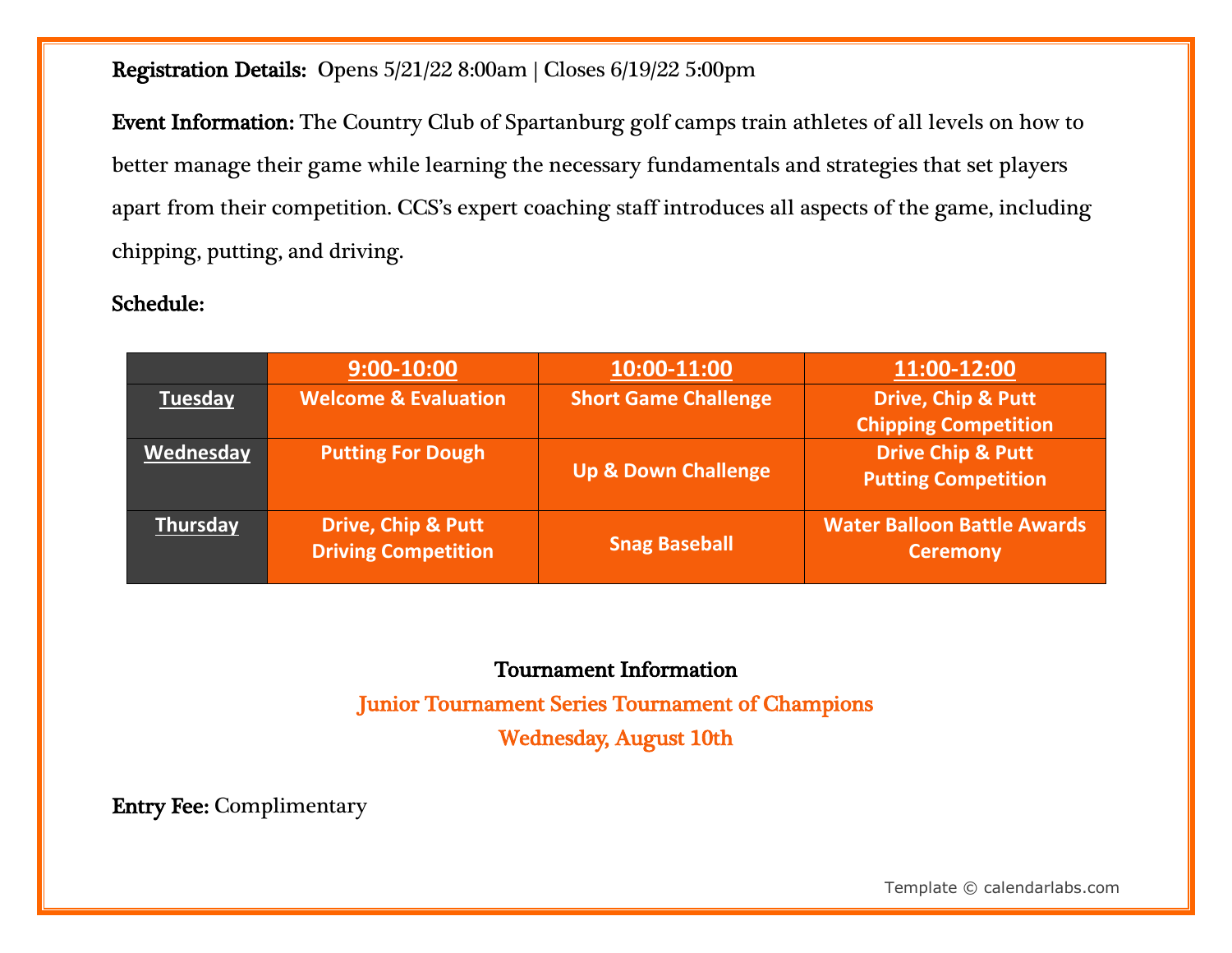#### Registration Details: Opens 5/21/22 8:00am | Closes 6/19/22 5:00pm

Event Information: The Country Club of Spartanburg golf camps train athletes of all levels on how to better manage their game while learning the necessary fundamentals and strategies that set players apart from their competition. CCS's expert coaching staff introduces all aspects of the game, including chipping, putting, and driving.

#### Schedule:

|                | $9:00-10:00$                                                | 10:00-11:00                    | 11:00-12:00                                                  |
|----------------|-------------------------------------------------------------|--------------------------------|--------------------------------------------------------------|
| <b>Tuesday</b> | <b>Welcome &amp; Evaluation</b>                             | <b>Short Game Challenge</b>    | <b>Drive, Chip &amp; Putt</b><br><b>Chipping Competition</b> |
| Wednesday      | <b>Putting For Dough</b>                                    | <b>Up &amp; Down Challenge</b> | <b>Drive Chip &amp; Putt</b><br><b>Putting Competition</b>   |
| Thursday       | <b>Drive, Chip &amp; Putt</b><br><b>Driving Competition</b> | <b>Snag Baseball</b>           | <b>Water Balloon Battle Awards</b><br><b>Ceremony</b>        |

# Tournament Information

Junior Tournament Series Tournament of Champions Wednesday, August 10th

Entry Fee: Complimentary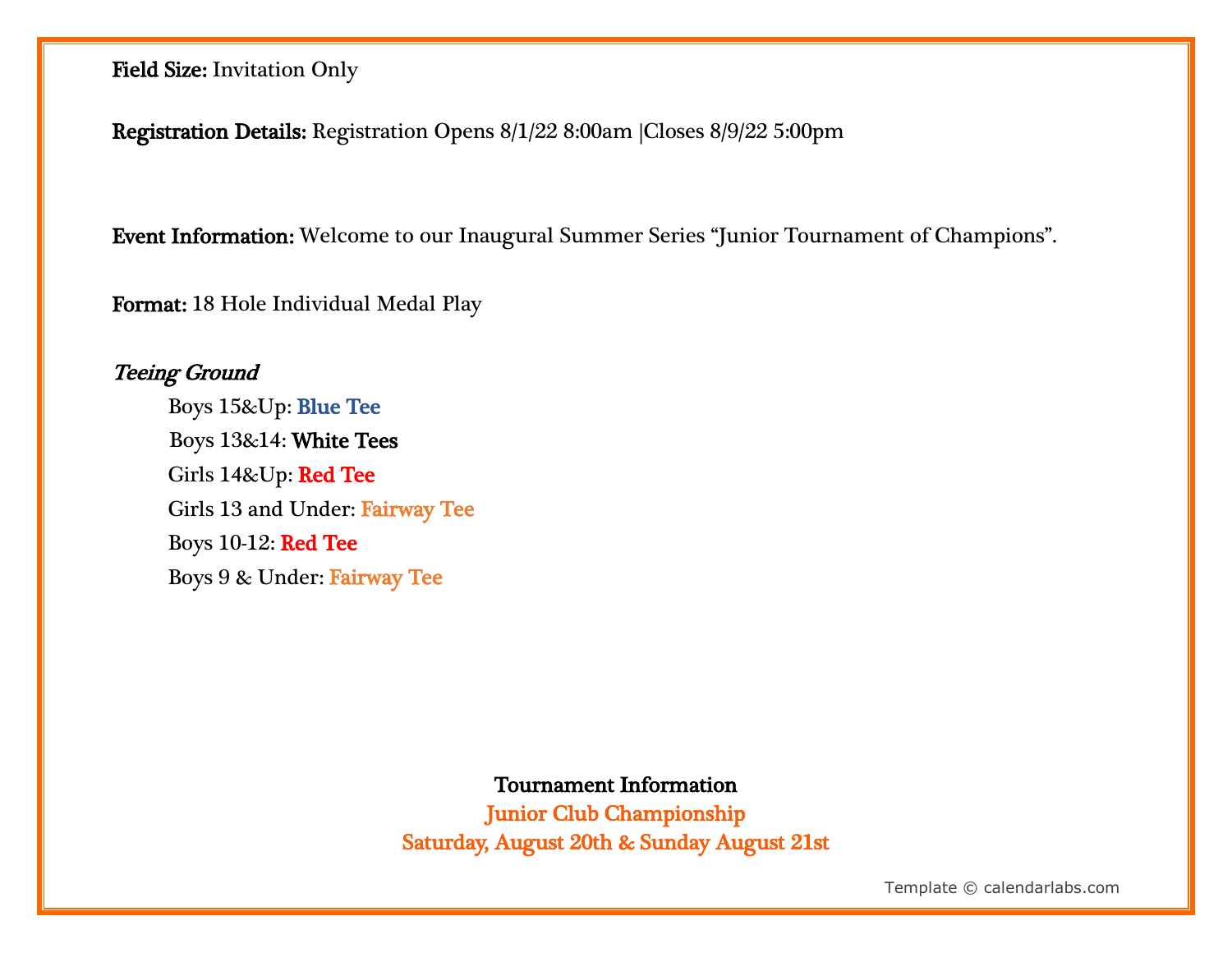Field Size: Invitation Only

Registration Details: Registration Opens 8/1/22 8:00am |Closes 8/9/22 5:00pm

Event Information: Welcome to our Inaugural Summer Series "Junior Tournament of Champions".

Format: 18 Hole Individual Medal Play

Teeing Ground Boys 15&Up: Blue Tee Boys 13&14: White Tees Girls 14&Up: Red Tee Girls 13 and Under: Fairway Tee Boys 10-12: Red Tee Boys 9 & Under: Fairway Tee

Tournament Information

Junior Club Championship Saturday, August 20th & Sunday August 21st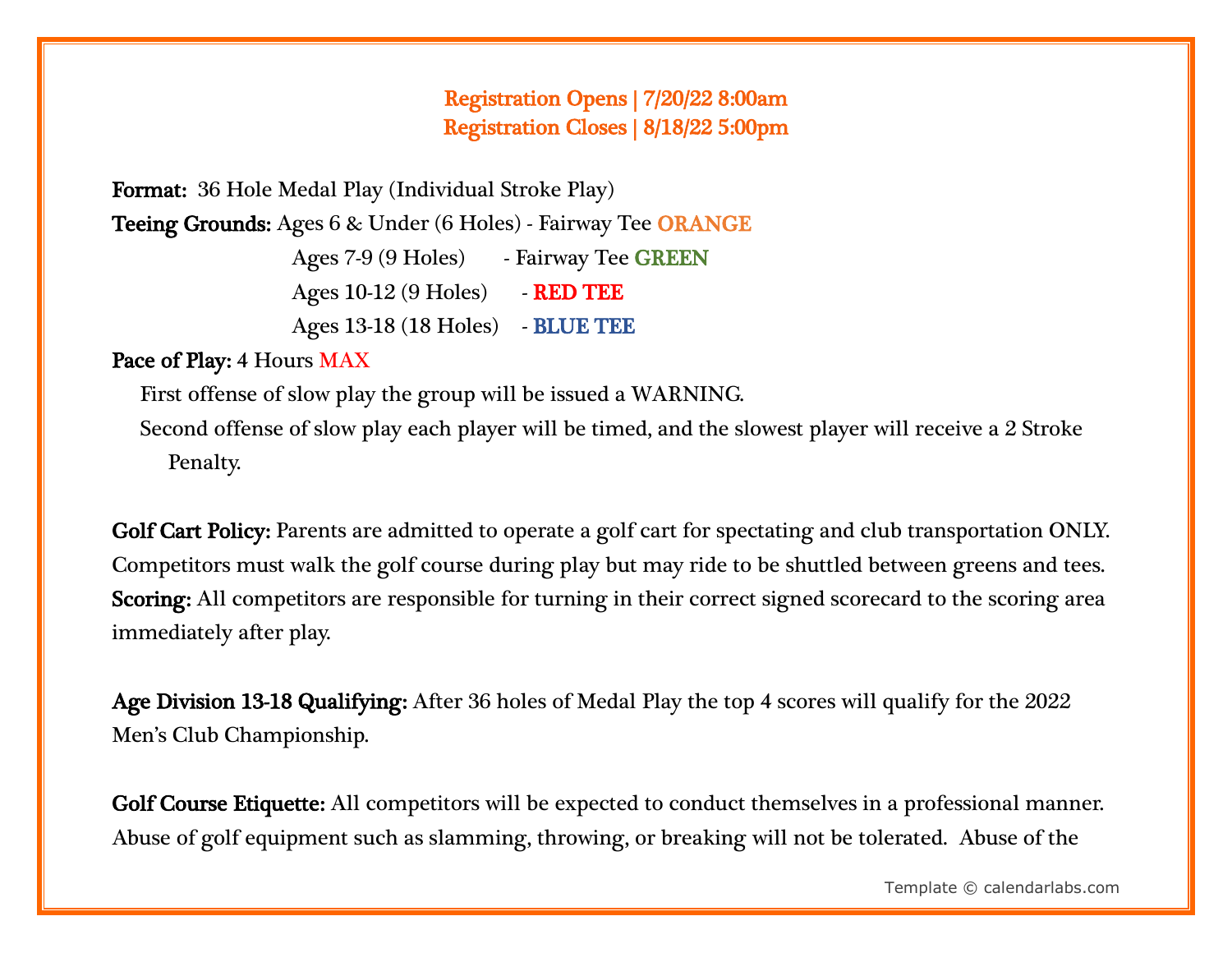### Registration Opens | 7/20/22 8:00am Registration Closes | 8/18/22 5:00pm

Format: 36 Hole Medal Play (Individual Stroke Play)

Teeing Grounds: Ages 6 & Under (6 Holes) - Fairway Tee ORANGE

Ages 7-9 (9 Holes) - Fairway Tee GREEN

Ages 10-12 (9 Holes) - **RED TEE** 

Ages 13-18 (18 Holes) - BLUE TEE

## Pace of Play: 4 Hours MAX

First offense of slow play the group will be issued a WARNING.

Second offense of slow play each player will be timed, and the slowest player will receive a 2 Stroke Penalty.

Golf Cart Policy: Parents are admitted to operate a golf cart for spectating and club transportation ONLY. Competitors must walk the golf course during play but may ride to be shuttled between greens and tees. Scoring: All competitors are responsible for turning in their correct signed scorecard to the scoring area immediately after play.

Age Division 13-18 Qualifying: After 36 holes of Medal Play the top 4 scores will qualify for the 2022 Men's Club Championship.

Golf Course Etiquette: All competitors will be expected to conduct themselves in a professional manner. Abuse of golf equipment such as slamming, throwing, or breaking will not be tolerated. Abuse of the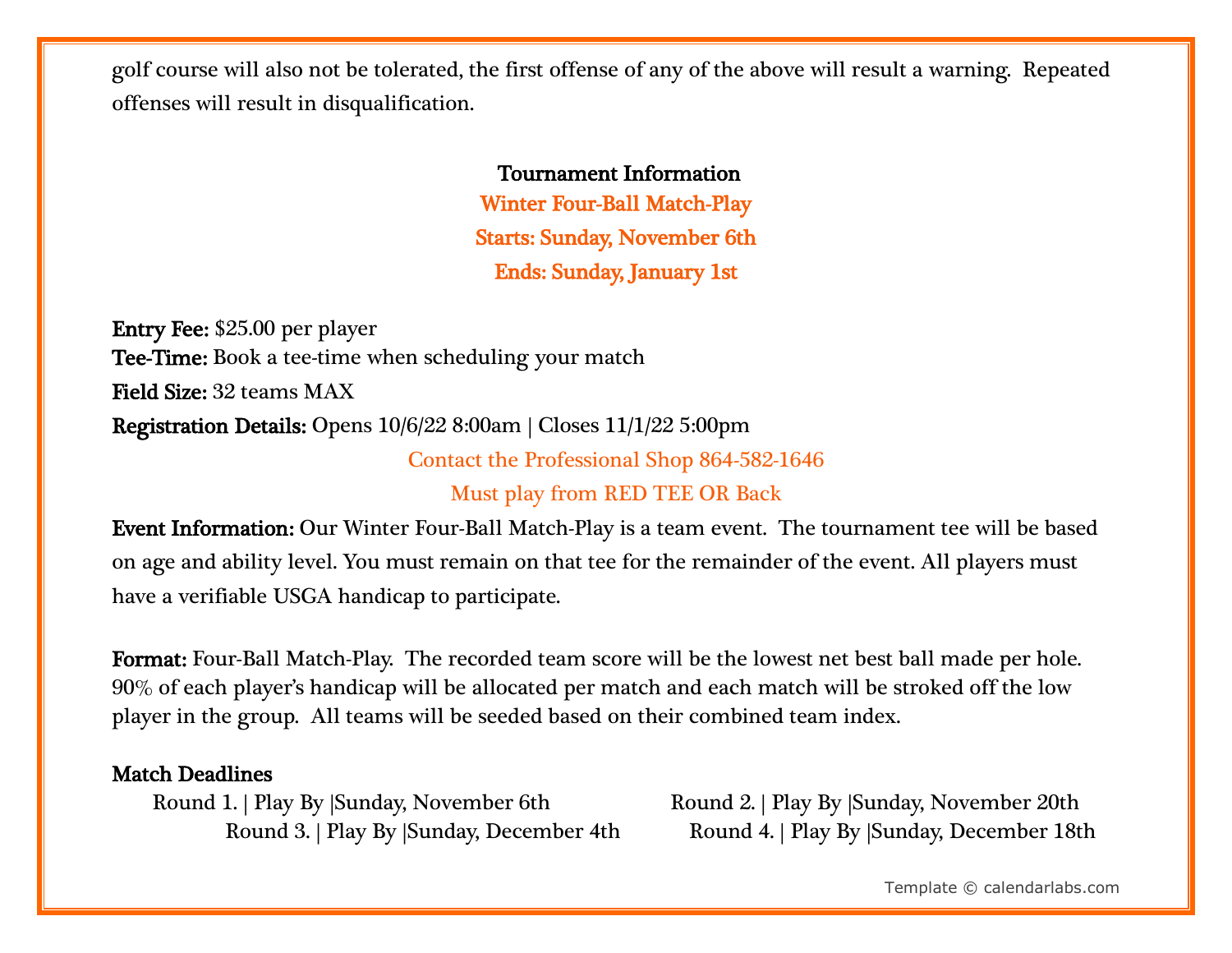golf course will also not be tolerated, the first offense of any of the above will result a warning. Repeated offenses will result in disqualification.

#### Tournament Information

Winter Four-Ball Match-Play Starts: Sunday, November 6th Ends: Sunday, January 1st

Entry Fee: \$25.00 per player Tee-Time: Book a tee-time when scheduling your match Field Size: 32 teams MAX Registration Details: Opens 10/6/22 8:00am | Closes 11/1/22 5:00pm

Contact the Professional Shop 864-582-1646

Must play from RED TEE OR Back

Event Information: Our Winter Four-Ball Match-Play is a team event. The tournament tee will be based on age and ability level. You must remain on that tee for the remainder of the event. All players must have a verifiable USGA handicap to participate.

Format: Four-Ball Match-Play. The recorded team score will be the lowest net best ball made per hole. 90% of each player's handicap will be allocated per match and each match will be stroked off the low player in the group. All teams will be seeded based on their combined team index.

#### Match Deadlines

Round 1. | Play By |Sunday, November 6th Round 2. | Play By |Sunday, November 20th

Round 3. | Play By | Sunday, December 4th Round 4. | Play By | Sunday, December 18th